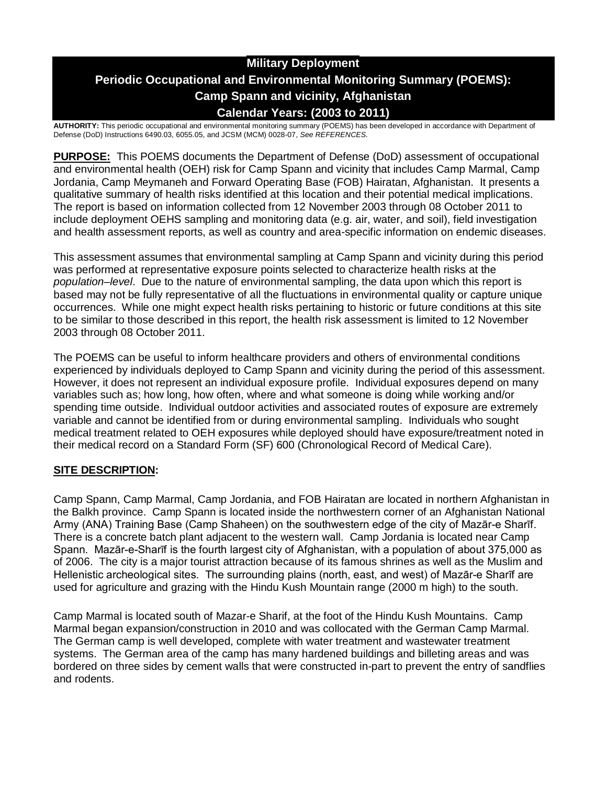# **Military Deployment Periodic Occupational and Environmental Monitoring Summary (POEMS): Camp Spann and vicinity, Afghanistan Calendar Years: (2003 to 2011)**

**AUTHORITY:** This periodic occupational and environmental monitoring summary (POEMS) has been developed in accordance with Department of Defense (DoD) Instructions 6490.03, 6055.05, and JCSM (MCM) 0028-07, *See REFERENCES.*

**PURPOSE:** This POEMS documents the Department of Defense (DoD) assessment of occupational and environmental health (OEH) risk for Camp Spann and vicinity that includes Camp Marmal, Camp Jordania, Camp Meymaneh and Forward Operating Base (FOB) Hairatan, Afghanistan. It presents a qualitative summary of health risks identified at this location and their potential medical implications. The report is based on information collected from 12 November 2003 through 08 October 2011 to include deployment OEHS sampling and monitoring data (e.g. air, water, and soil), field investigation and health assessment reports, as well as country and area-specific information on endemic diseases.

This assessment assumes that environmental sampling at Camp Spann and vicinity during this period was performed at representative exposure points selected to characterize health risks at the *population–level*. Due to the nature of environmental sampling, the data upon which this report is based may not be fully representative of all the fluctuations in environmental quality or capture unique occurrences. While one might expect health risks pertaining to historic or future conditions at this site to be similar to those described in this report, the health risk assessment is limited to 12 November 2003 through 08 October 2011.

The POEMS can be useful to inform healthcare providers and others of environmental conditions experienced by individuals deployed to Camp Spann and vicinity during the period of this assessment. However, it does not represent an individual exposure profile. Individual exposures depend on many variables such as; how long, how often, where and what someone is doing while working and/or spending time outside. Individual outdoor activities and associated routes of exposure are extremely variable and cannot be identified from or during environmental sampling. Individuals who sought medical treatment related to OEH exposures while deployed should have exposure/treatment noted in their medical record on a Standard Form (SF) 600 (Chronological Record of Medical Care).

### **SITE DESCRIPTION:**

Camp Spann, Camp Marmal, Camp Jordania, and FOB Hairatan are located in northern Afghanistan in the Balkh province. Camp Spann is located inside the northwestern corner of an Afghanistan National Army (ANA) Training Base (Camp Shaheen) on the southwestern edge of the city of Mazār-e Sharīf. There is a concrete batch plant adjacent to the western wall. Camp Jordania is located near Camp Spann. Mazār-e-Sharīf is the fourth largest city of Afghanistan, with a population of about 375,000 as of 2006. The city is a major tourist attraction because of its famous shrines as well as the Muslim and Hellenistic archeological sites. The surrounding plains (north, east, and west) of Mazār-e Sharīf are used for agriculture and grazing with the Hindu Kush Mountain range (2000 m high) to the south.

Camp Marmal is located south of Mazar-e Sharif, at the foot of the Hindu Kush Mountains. Camp Marmal began expansion/construction in 2010 and was collocated with the German Camp Marmal. The German camp is well developed, complete with water treatment and wastewater treatment systems. The German area of the camp has many hardened buildings and billeting areas and was bordered on three sides by cement walls that were constructed in-part to prevent the entry of sandflies and rodents.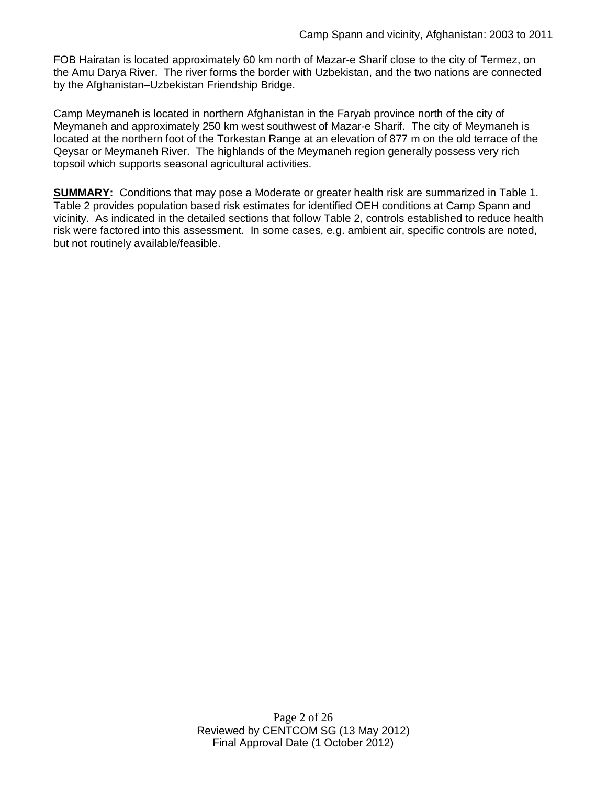FOB Hairatan is located approximately 60 km north of Mazar-e Sharif close to the city of Termez, on the Amu Darya River. The river forms the border with Uzbekistan, and the two nations are connected by the Afghanistan–Uzbekistan Friendship Bridge.

Camp Meymaneh is located in northern Afghanistan in the Faryab province north of the city of Meymaneh and approximately 250 km west southwest of Mazar-e Sharif. The city of Meymaneh is located at the northern foot of the Torkestan Range at an elevation of 877 m on the old terrace of the Qeysar or Meymaneh River. The highlands of the Meymaneh region generally possess very rich topsoil which supports seasonal agricultural activities.

**SUMMARY:** Conditions that may pose a Moderate or greater health risk are summarized in Table 1. Table 2 provides population based risk estimates for identified OEH conditions at Camp Spann and vicinity. As indicated in the detailed sections that follow Table 2, controls established to reduce health risk were factored into this assessment. In some cases, e.g. ambient air, specific controls are noted, but not routinely available/feasible.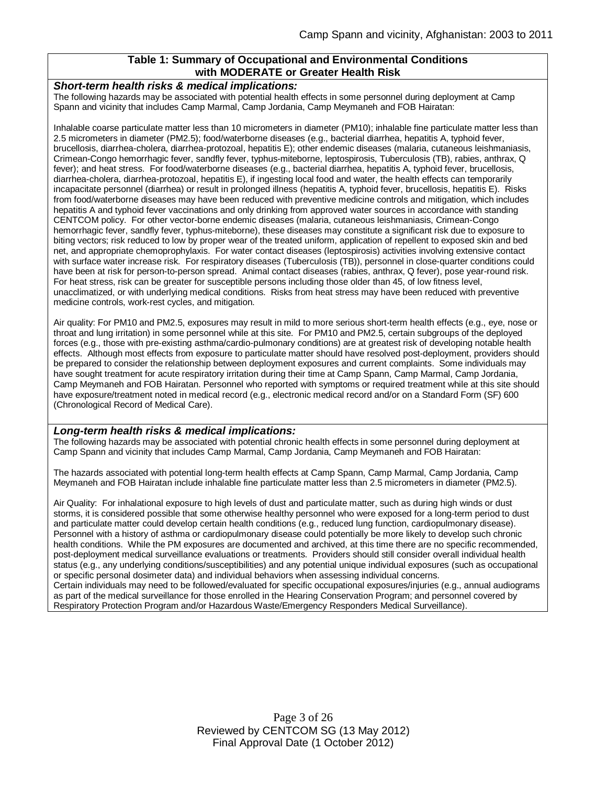#### **Table 1: Summary of Occupational and Environmental Conditions with MODERATE or Greater Health Risk**

#### *Short-term health risks & medical implications:*

The following hazards may be associated with potential health effects in some personnel during deployment at Camp Spann and vicinity that includes Camp Marmal, Camp Jordania, Camp Meymaneh and FOB Hairatan:

Inhalable coarse particulate matter less than 10 micrometers in diameter (PM10); inhalable fine particulate matter less than 2.5 micrometers in diameter (PM2.5); food/waterborne diseases (e.g., bacterial diarrhea, hepatitis A, typhoid fever, brucellosis, diarrhea-cholera, diarrhea-protozoal, hepatitis E); other endemic diseases (malaria, cutaneous leishmaniasis, Crimean-Congo hemorrhagic fever, sandfly fever, typhus-miteborne, leptospirosis, Tuberculosis (TB), rabies, anthrax, Q fever); and heat stress. For food/waterborne diseases (e.g., bacterial diarrhea, hepatitis A, typhoid fever, brucellosis, diarrhea-cholera, diarrhea-protozoal, hepatitis E), if ingesting local food and water, the health effects can temporarily incapacitate personnel (diarrhea) or result in prolonged illness (hepatitis A, typhoid fever, brucellosis, hepatitis E). Risks from food/waterborne diseases may have been reduced with preventive medicine controls and mitigation, which includes hepatitis A and typhoid fever vaccinations and only drinking from approved water sources in accordance with standing CENTCOM policy. For other vector-borne endemic diseases (malaria, cutaneous leishmaniasis, Crimean-Congo hemorrhagic fever, sandfly fever, typhus-miteborne), these diseases may constitute a significant risk due to exposure to biting vectors; risk reduced to low by proper wear of the treated uniform, application of repellent to exposed skin and bed net, and appropriate chemoprophylaxis. For water contact diseases (leptospirosis) activities involving extensive contact with surface water increase risk. For respiratory diseases (Tuberculosis (TB)), personnel in close-quarter conditions could have been at risk for person-to-person spread. Animal contact diseases (rabies, anthrax, Q fever), pose year-round risk. For heat stress, risk can be greater for susceptible persons including those older than 45, of low fitness level, unacclimatized, or with underlying medical conditions. Risks from heat stress may have been reduced with preventive medicine controls, work-rest cycles, and mitigation.

Air quality: For PM10 and PM2.5, exposures may result in mild to more serious short-term health effects (e.g., eye, nose or throat and lung irritation) in some personnel while at this site. For PM10 and PM2.5, certain subgroups of the deployed forces (e.g., those with pre-existing asthma/cardio-pulmonary conditions) are at greatest risk of developing notable health effects. Although most effects from exposure to particulate matter should have resolved post-deployment, providers should be prepared to consider the relationship between deployment exposures and current complaints. Some individuals may have sought treatment for acute respiratory irritation during their time at Camp Spann, Camp Marmal, Camp Jordania, Camp Meymaneh and FOB Hairatan. Personnel who reported with symptoms or required treatment while at this site should have exposure/treatment noted in medical record (e.g., electronic medical record and/or on a Standard Form (SF) 600 (Chronological Record of Medical Care).

#### *Long-term health risks & medical implications:*

The following hazards may be associated with potential chronic health effects in some personnel during deployment at Camp Spann and vicinity that includes Camp Marmal, Camp Jordania, Camp Meymaneh and FOB Hairatan:

The hazards associated with potential long-term health effects at Camp Spann, Camp Marmal, Camp Jordania, Camp Meymaneh and FOB Hairatan include inhalable fine particulate matter less than 2.5 micrometers in diameter (PM2.5).

Air Quality: For inhalational exposure to high levels of dust and particulate matter, such as during high winds or dust storms, it is considered possible that some otherwise healthy personnel who were exposed for a long-term period to dust and particulate matter could develop certain health conditions (e.g., reduced lung function, cardiopulmonary disease). Personnel with a history of asthma or cardiopulmonary disease could potentially be more likely to develop such chronic health conditions. While the PM exposures are documented and archived, at this time there are no specific recommended, post-deployment medical surveillance evaluations or treatments. Providers should still consider overall individual health status (e.g., any underlying conditions/susceptibilities) and any potential unique individual exposures (such as occupational or specific personal dosimeter data) and individual behaviors when assessing individual concerns.

Certain individuals may need to be followed/evaluated for specific occupational exposures/injuries (e.g., annual audiograms as part of the medical surveillance for those enrolled in the Hearing Conservation Program; and personnel covered by Respiratory Protection Program and/or Hazardous Waste/Emergency Responders Medical Surveillance).

> Page 3 of 26 Reviewed by CENTCOM SG (13 May 2012) Final Approval Date (1 October 2012)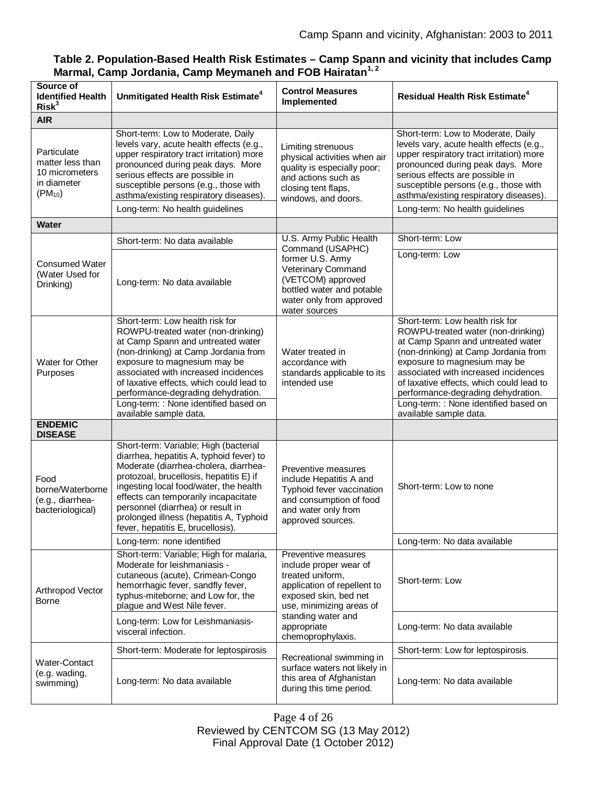| Table 2. Population-Based Health Risk Estimates - Camp Spann and vicinity that includes Camp |  |
|----------------------------------------------------------------------------------------------|--|
| Marmal, Camp Jordania, Camp Meymaneh and FOB Hairatan <sup>1,2</sup>                         |  |

| Source of<br><b>Identified Health</b><br>Risk <sup>3</sup>                      | Unmitigated Health Risk Estimate <sup>4</sup>                                                                                                                                                                                                                                                                                                                                   | <b>Control Measures</b><br>Implemented                                                                                                                    | <b>Residual Health Risk Estimate<sup>4</sup></b>                                                                                                                                                                                                                                                                                                                                |
|---------------------------------------------------------------------------------|---------------------------------------------------------------------------------------------------------------------------------------------------------------------------------------------------------------------------------------------------------------------------------------------------------------------------------------------------------------------------------|-----------------------------------------------------------------------------------------------------------------------------------------------------------|---------------------------------------------------------------------------------------------------------------------------------------------------------------------------------------------------------------------------------------------------------------------------------------------------------------------------------------------------------------------------------|
| <b>AIR</b>                                                                      |                                                                                                                                                                                                                                                                                                                                                                                 |                                                                                                                                                           |                                                                                                                                                                                                                                                                                                                                                                                 |
| Particulate<br>matter less than<br>10 micrometers<br>in diameter<br>$(PM_{10})$ | Short-term: Low to Moderate, Daily<br>levels vary, acute health effects (e.g.,<br>upper respiratory tract irritation) more<br>pronounced during peak days. More<br>serious effects are possible in<br>susceptible persons (e.g., those with<br>asthma/existing respiratory diseases).<br>Long-term: No health guidelines                                                        | Limiting strenuous<br>physical activities when air<br>quality is especially poor;<br>and actions such as<br>closing tent flaps,<br>windows, and doors.    | Short-term: Low to Moderate, Daily<br>levels vary, acute health effects (e.g.,<br>upper respiratory tract irritation) more<br>pronounced during peak days. More<br>serious effects are possible in<br>susceptible persons (e.g., those with<br>asthma/existing respiratory diseases).<br>Long-term: No health guidelines                                                        |
| Water                                                                           |                                                                                                                                                                                                                                                                                                                                                                                 |                                                                                                                                                           |                                                                                                                                                                                                                                                                                                                                                                                 |
|                                                                                 | Short-term: No data available                                                                                                                                                                                                                                                                                                                                                   | U.S. Army Public Health                                                                                                                                   | Short-term: Low                                                                                                                                                                                                                                                                                                                                                                 |
| <b>Consumed Water</b><br>(Water Used for<br>Drinking)                           | Long-term: No data available                                                                                                                                                                                                                                                                                                                                                    | Command (USAPHC)<br>former U.S. Army<br>Veterinary Command<br>(VETCOM) approved<br>bottled water and potable<br>water only from approved<br>water sources | Long-term: Low                                                                                                                                                                                                                                                                                                                                                                  |
| Water for Other<br>Purposes                                                     | Short-term: Low health risk for<br>ROWPU-treated water (non-drinking)<br>at Camp Spann and untreated water<br>(non-drinking) at Camp Jordania from<br>exposure to magnesium may be<br>associated with increased incidences<br>of laxative effects, which could lead to<br>performance-degrading dehydration.<br>Long-term: : None identified based on<br>available sample data. | Water treated in<br>accordance with<br>standards applicable to its<br>intended use                                                                        | Short-term: Low health risk for<br>ROWPU-treated water (non-drinking)<br>at Camp Spann and untreated water<br>(non-drinking) at Camp Jordania from<br>exposure to magnesium may be<br>associated with increased incidences<br>of laxative effects, which could lead to<br>performance-degrading dehydration.<br>Long-term: : None identified based on<br>available sample data. |
| <b>ENDEMIC</b><br><b>DISEASE</b>                                                |                                                                                                                                                                                                                                                                                                                                                                                 |                                                                                                                                                           |                                                                                                                                                                                                                                                                                                                                                                                 |
| Food<br>borne/Waterborne<br>(e.g., diarrhea-<br>bacteriological)                | Short-term: Variable; High (bacterial<br>diarrhea, hepatitis A, typhoid fever) to<br>Moderate (diarrhea-cholera, diarrhea-<br>protozoal, brucellosis, hepatitis E) if<br>ingesting local food/water, the health<br>effects can temporarily incapacitate<br>personnel (diarrhea) or result in<br>prolonged illness (hepatitis A, Typhoid<br>fever, hepatitis E, brucellosis).    | Preventive measures<br>include Hepatitis A and<br>Typhoid fever vaccination<br>and consumption of food<br>and water only from<br>approved sources.        | Short-term: Low to none                                                                                                                                                                                                                                                                                                                                                         |
|                                                                                 | Long-term: none identified                                                                                                                                                                                                                                                                                                                                                      |                                                                                                                                                           | Long-term: No data available                                                                                                                                                                                                                                                                                                                                                    |
| Arthropod Vector<br><b>Borne</b>                                                | Short-term: Variable; High for malaria,<br>Moderate for leishmaniasis -<br>cutaneous (acute), Crimean-Congo<br>hemorrhagic fever, sandfly fever,<br>typhus-miteborne; and Low for, the<br>plague and West Nile fever.                                                                                                                                                           | Preventive measures<br>include proper wear of<br>treated uniform,<br>application of repellent to<br>exposed skin, bed net<br>use, minimizing areas of     | Short-term: Low                                                                                                                                                                                                                                                                                                                                                                 |
|                                                                                 | Long-term: Low for Leishmaniasis-<br>visceral infection.                                                                                                                                                                                                                                                                                                                        | standing water and<br>appropriate<br>chemoprophylaxis.                                                                                                    | Long-term: No data available                                                                                                                                                                                                                                                                                                                                                    |
|                                                                                 | Short-term: Moderate for leptospirosis                                                                                                                                                                                                                                                                                                                                          | Recreational swimming in                                                                                                                                  | Short-term: Low for leptospirosis.                                                                                                                                                                                                                                                                                                                                              |
| Water-Contact<br>(e.g. wading,<br>swimming)                                     | Long-term: No data available                                                                                                                                                                                                                                                                                                                                                    | surface waters not likely in<br>this area of Afghanistan<br>during this time period.                                                                      | Long-term: No data available                                                                                                                                                                                                                                                                                                                                                    |

Page 4 of 26 Reviewed by CENTCOM SG (13 May 2012) Final Approval Date (1 October 2012)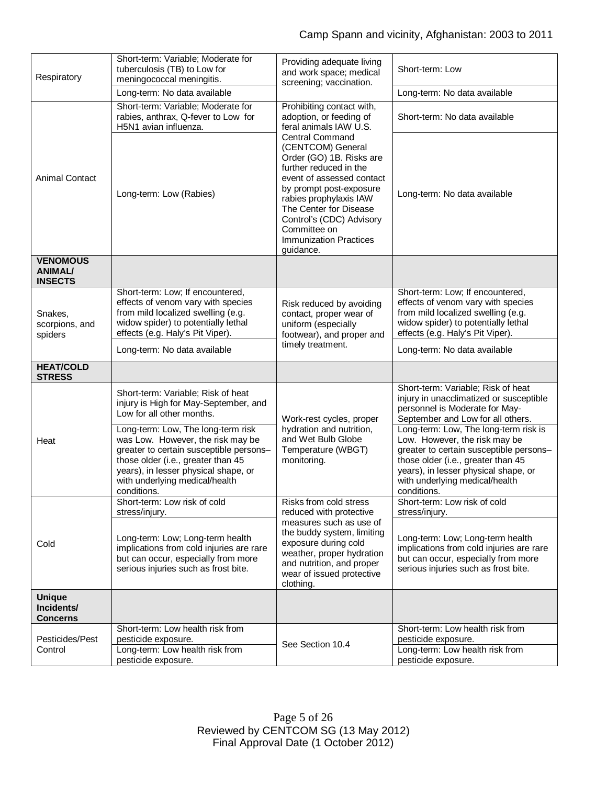|                                                     | Short-term: Variable; Moderate for                                                                                                                                                                                                                | Providing adequate living                                                                                                                                                                                                                                                                                                                                                                 |                                                                                                                                                                                                                                                  |
|-----------------------------------------------------|---------------------------------------------------------------------------------------------------------------------------------------------------------------------------------------------------------------------------------------------------|-------------------------------------------------------------------------------------------------------------------------------------------------------------------------------------------------------------------------------------------------------------------------------------------------------------------------------------------------------------------------------------------|--------------------------------------------------------------------------------------------------------------------------------------------------------------------------------------------------------------------------------------------------|
| Respiratory                                         | tuberculosis (TB) to Low for                                                                                                                                                                                                                      | and work space; medical                                                                                                                                                                                                                                                                                                                                                                   | Short-term: Low                                                                                                                                                                                                                                  |
|                                                     | meningococcal meningitis.                                                                                                                                                                                                                         | screening; vaccination.                                                                                                                                                                                                                                                                                                                                                                   |                                                                                                                                                                                                                                                  |
|                                                     | Long-term: No data available                                                                                                                                                                                                                      |                                                                                                                                                                                                                                                                                                                                                                                           | Long-term: No data available                                                                                                                                                                                                                     |
|                                                     | Short-term: Variable; Moderate for<br>rabies, anthrax, Q-fever to Low for<br>H5N1 avian influenza.                                                                                                                                                | Prohibiting contact with,<br>adoption, or feeding of<br>feral animals IAW U.S.<br><b>Central Command</b><br>(CENTCOM) General<br>Order (GO) 1B. Risks are<br>further reduced in the<br>event of assessed contact<br>by prompt post-exposure<br>rabies prophylaxis IAW<br>The Center for Disease<br>Control's (CDC) Advisory<br>Committee on<br><b>Immunization Practices</b><br>guidance. | Short-term: No data available                                                                                                                                                                                                                    |
| <b>Animal Contact</b>                               | Long-term: Low (Rabies)                                                                                                                                                                                                                           |                                                                                                                                                                                                                                                                                                                                                                                           | Long-term: No data available                                                                                                                                                                                                                     |
| <b>VENOMOUS</b><br><b>ANIMAL/</b><br><b>INSECTS</b> |                                                                                                                                                                                                                                                   |                                                                                                                                                                                                                                                                                                                                                                                           |                                                                                                                                                                                                                                                  |
| Snakes,<br>scorpions, and<br>spiders                | Short-term: Low; If encountered,<br>effects of venom vary with species<br>from mild localized swelling (e.g.<br>widow spider) to potentially lethal<br>effects (e.g. Haly's Pit Viper).                                                           | Risk reduced by avoiding<br>contact, proper wear of<br>uniform (especially<br>footwear), and proper and                                                                                                                                                                                                                                                                                   | Short-term: Low; If encountered,<br>effects of venom vary with species<br>from mild localized swelling (e.g.<br>widow spider) to potentially lethal<br>effects (e.g. Haly's Pit Viper).                                                          |
|                                                     | Long-term: No data available                                                                                                                                                                                                                      | timely treatment.                                                                                                                                                                                                                                                                                                                                                                         | Long-term: No data available                                                                                                                                                                                                                     |
| <b>HEAT/COLD</b><br><b>STRESS</b>                   |                                                                                                                                                                                                                                                   |                                                                                                                                                                                                                                                                                                                                                                                           |                                                                                                                                                                                                                                                  |
|                                                     | Short-term: Variable; Risk of heat<br>injury is High for May-September, and<br>Low for all other months.                                                                                                                                          | Work-rest cycles, proper                                                                                                                                                                                                                                                                                                                                                                  | Short-term: Variable; Risk of heat<br>injury in unacclimatized or susceptible<br>personnel is Moderate for May-<br>September and Low for all others.                                                                                             |
| Heat                                                | Long-term: Low, The long-term risk<br>was Low. However, the risk may be<br>greater to certain susceptible persons-<br>those older (i.e., greater than 45<br>years), in lesser physical shape, or<br>with underlying medical/health<br>conditions. | hydration and nutrition,<br>and Wet Bulb Globe<br>Temperature (WBGT)<br>monitoring.                                                                                                                                                                                                                                                                                                       | Long-term: Low, The long-term risk is<br>Low. However, the risk may be<br>greater to certain susceptible persons-<br>those older (i.e., greater than 45<br>years), in lesser physical shape, or<br>with underlying medical/health<br>conditions. |
|                                                     | Short-term: Low risk of cold<br>stress/injury.                                                                                                                                                                                                    | Risks from cold stress<br>reduced with protective                                                                                                                                                                                                                                                                                                                                         | Short-term: Low risk of cold<br>stress/injury.                                                                                                                                                                                                   |
| Cold                                                | Long-term: Low; Long-term health<br>implications from cold injuries are rare<br>but can occur, especially from more<br>serious injuries such as frost bite.                                                                                       | measures such as use of<br>the buddy system, limiting<br>exposure during cold<br>weather, proper hydration<br>and nutrition, and proper<br>wear of issued protective<br>clothing.                                                                                                                                                                                                         | Long-term: Low; Long-term health<br>implications from cold injuries are rare<br>but can occur, especially from more<br>serious injuries such as frost bite.                                                                                      |
| <b>Unique</b><br>Incidents/<br><b>Concerns</b>      |                                                                                                                                                                                                                                                   |                                                                                                                                                                                                                                                                                                                                                                                           |                                                                                                                                                                                                                                                  |
|                                                     | Short-term: Low health risk from                                                                                                                                                                                                                  |                                                                                                                                                                                                                                                                                                                                                                                           | Short-term: Low health risk from                                                                                                                                                                                                                 |
| Pesticides/Pest<br>Control                          | pesticide exposure.<br>Long-term: Low health risk from<br>pesticide exposure.                                                                                                                                                                     | See Section 10.4                                                                                                                                                                                                                                                                                                                                                                          | pesticide exposure.<br>Long-term: Low health risk from<br>pesticide exposure.                                                                                                                                                                    |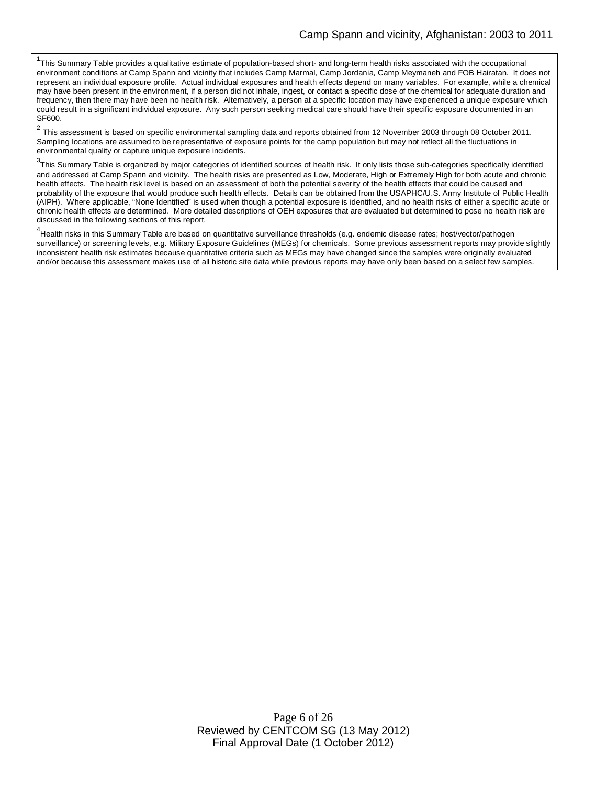<sup>1</sup>This Summary Table provides a qualitative estimate of population-based short- and long-term health risks associated with the occupational environment conditions at Camp Spann and vicinity that includes Camp Marmal, Camp Jordania, Camp Meymaneh and FOB Hairatan. It does not represent an individual exposure profile. Actual individual exposures and health effects depend on many variables. For example, while a chemical may have been present in the environment, if a person did not inhale, ingest, or contact a specific dose of the chemical for adequate duration and frequency, then there may have been no health risk. Alternatively, a person at a specific location may have experienced a unique exposure which could result in a significant individual exposure. Any such person seeking medical care should have their specific exposure documented in an SF600.

 $^2$  This assessment is based on specific environmental sampling data and reports obtained from 12 November 2003 through 08 October 2011. Sampling locations are assumed to be representative of exposure points for the camp population but may not reflect all the fluctuations in environmental quality or capture unique exposure incidents.

 $3$ This Summary Table is organized by major categories of identified sources of health risk. It only lists those sub-categories specifically identified and addressed at Camp Spann and vicinity. The health risks are presented as Low, Moderate, High or Extremely High for both acute and chronic health effects. The health risk level is based on an assessment of both the potential severity of the health effects that could be caused and probability of the exposure that would produce such health effects. Details can be obtained from the USAPHC/U.S. Army Institute of Public Health (AIPH). Where applicable, "None Identified" is used when though a potential exposure is identified, and no health risks of either a specific acute or chronic health effects are determined. More detailed descriptions of OEH exposures that are evaluated but determined to pose no health risk are discussed in the following sections of this report.

<sup>4</sup><br>Health risks in this Summary Table are based on quantitative surveillance thresholds (e.g. endemic disease rates; host/vector/pathogen surveillance) or screening levels, e.g. Military Exposure Guidelines (MEGs) for chemicals*.* Some previous assessment reports may provide slightly inconsistent health risk estimates because quantitative criteria such as MEGs may have changed since the samples were originally evaluated and/or because this assessment makes use of all historic site data while previous reports may have only been based on a select few samples.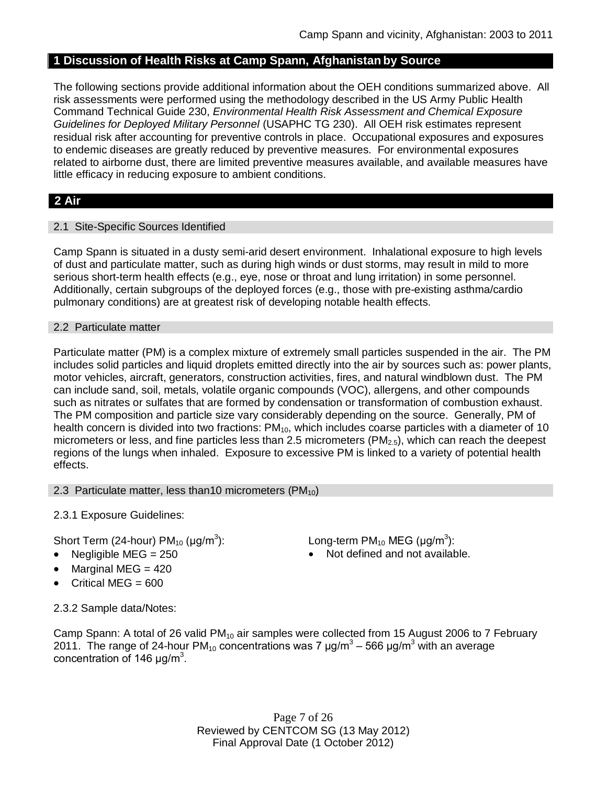# **1 Discussion of Health Risks at Camp Spann, Afghanistan by Source**

The following sections provide additional information about the OEH conditions summarized above. All risk assessments were performed using the methodology described in the US Army Public Health Command Technical Guide 230, *Environmental Health Risk Assessment and Chemical Exposure Guidelines for Deployed Military Personnel* (USAPHC TG 230). All OEH risk estimates represent residual risk after accounting for preventive controls in place. Occupational exposures and exposures to endemic diseases are greatly reduced by preventive measures. For environmental exposures related to airborne dust, there are limited preventive measures available, and available measures have little efficacy in reducing exposure to ambient conditions.

# **2 Air**

#### 2.1 Site-Specific Sources Identified

Camp Spann is situated in a dusty semi-arid desert environment. Inhalational exposure to high levels of dust and particulate matter, such as during high winds or dust storms, may result in mild to more serious short-term health effects (e.g., eye, nose or throat and lung irritation) in some personnel. Additionally, certain subgroups of the deployed forces (e.g., those with pre-existing asthma/cardio pulmonary conditions) are at greatest risk of developing notable health effects.

#### 2.2 Particulate matter

Particulate matter (PM) is a complex mixture of extremely small particles suspended in the air. The PM includes solid particles and liquid droplets emitted directly into the air by sources such as: power plants, motor vehicles, aircraft, generators, construction activities, fires, and natural windblown dust. The PM can include sand, soil, metals, volatile organic compounds (VOC), allergens, and other compounds such as nitrates or sulfates that are formed by condensation or transformation of combustion exhaust. The PM composition and particle size vary considerably depending on the source. Generally, PM of health concern is divided into two fractions:  $PM_{10}$ , which includes coarse particles with a diameter of 10 micrometers or less, and fine particles less than 2.5 micrometers ( $PM<sub>2.5</sub>$ ), which can reach the deepest regions of the lungs when inhaled. Exposure to excessive PM is linked to a variety of potential health effects.

#### 2.3 Particulate matter, less than10 micrometers  $(PM_{10})$

2.3.1 Exposure Guidelines:

Short Term (24-hour) PM $_{10}$  (µg/m $^3$ 

- 
- Marginal MEG  $= 420$
- Critical MEG =  $600$

): Long-term PM<sub>10</sub> MEG ( $\mu$ g/m<sup>3</sup>):

Negligible  $MEG = 250$  Not defined and not available.

2.3.2 Sample data/Notes:

Camp Spann: A total of 26 valid  $PM_{10}$  air samples were collected from 15 August 2006 to 7 February 2011. The range of 24-hour PM<sub>10</sub> concentrations was 7 μg/m<sup>3</sup> – 566 μg/m<sup>3</sup> with an average concentration of 146  $\mu$ g/m<sup>3</sup>.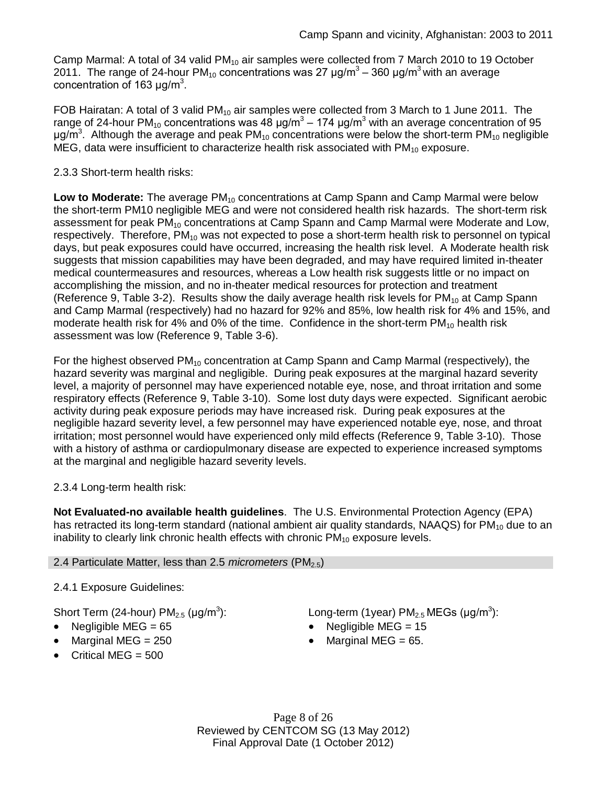Camp Marmal: A total of 34 valid  $PM_{10}$  air samples were collected from 7 March 2010 to 19 October 2011. The range of 24-hour PM<sub>10</sub> concentrations was 27 μg/m<sup>3</sup> – 360 μg/m<sup>3</sup> with an average concentration of 163  $\mu$ g/m<sup>3</sup>.

FOB Hairatan: A total of 3 valid  $PM_{10}$  air samples were collected from 3 March to 1 June 2011. The range of 24-hour PM<sub>10</sub> concentrations was 48 μg/m $^3$  – 174 μg/m $^3$  with an average concentration of 95 μg/m<sup>3</sup>. Although the average and peak PM<sub>10</sub> concentrations were below the short-term PM<sub>10</sub> negligible MEG, data were insufficient to characterize health risk associated with  $PM_{10}$  exposure.

## 2.3.3 Short-term health risks:

**Low to Moderate:** The average PM<sub>10</sub> concentrations at Camp Spann and Camp Marmal were below the short-term PM10 negligible MEG and were not considered health risk hazards. The short-term risk assessment for peak PM<sub>10</sub> concentrations at Camp Spann and Camp Marmal were Moderate and Low, respectively. Therefore,  $PM_{10}$  was not expected to pose a short-term health risk to personnel on typical days, but peak exposures could have occurred, increasing the health risk level. A Moderate health risk suggests that mission capabilities may have been degraded, and may have required limited in-theater medical countermeasures and resources, whereas a Low health risk suggests little or no impact on accomplishing the mission, and no in-theater medical resources for protection and treatment (Reference 9, Table 3-2). Results show the daily average health risk levels for  $PM_{10}$  at Camp Spann and Camp Marmal (respectively) had no hazard for 92% and 85%, low health risk for 4% and 15%, and moderate health risk for 4% and 0% of the time. Confidence in the short-term  $PM_{10}$  health risk assessment was low (Reference 9, Table 3-6).

For the highest observed  $PM_{10}$  concentration at Camp Spann and Camp Marmal (respectively), the hazard severity was marginal and negligible. During peak exposures at the marginal hazard severity level, a majority of personnel may have experienced notable eye, nose, and throat irritation and some respiratory effects (Reference 9, Table 3-10). Some lost duty days were expected. Significant aerobic activity during peak exposure periods may have increased risk. During peak exposures at the negligible hazard severity level, a few personnel may have experienced notable eye, nose, and throat irritation; most personnel would have experienced only mild effects (Reference 9, Table 3-10). Those with a history of asthma or cardiopulmonary disease are expected to experience increased symptoms at the marginal and negligible hazard severity levels.

2.3.4 Long-term health risk:

**Not Evaluated-no available health guidelines**. The U.S. Environmental Protection Agency (EPA) has retracted its long-term standard (national ambient air quality standards, NAAQS) for  $PM_{10}$  due to an inability to clearly link chronic health effects with chronic  $PM_{10}$  exposure levels.

# 2.4 Particulate Matter, less than 2.5 *micrometers* (PM<sub>2.5</sub>)

2.4.1 Exposure Guidelines:

Short Term (24-hour) PM $_{2.5}$  (µg/m $^3$ 

- 
- Marginal MEG =  $250$   $\bullet$  Marginal MEG =  $65$ .
- $\bullet$  Critical MEG = 500

): Long-term (1year)  $PM_{2.5}$  MEGs (µg/m<sup>3</sup>):

- Negligible MEG = 65 Negligible MEG = 15
	-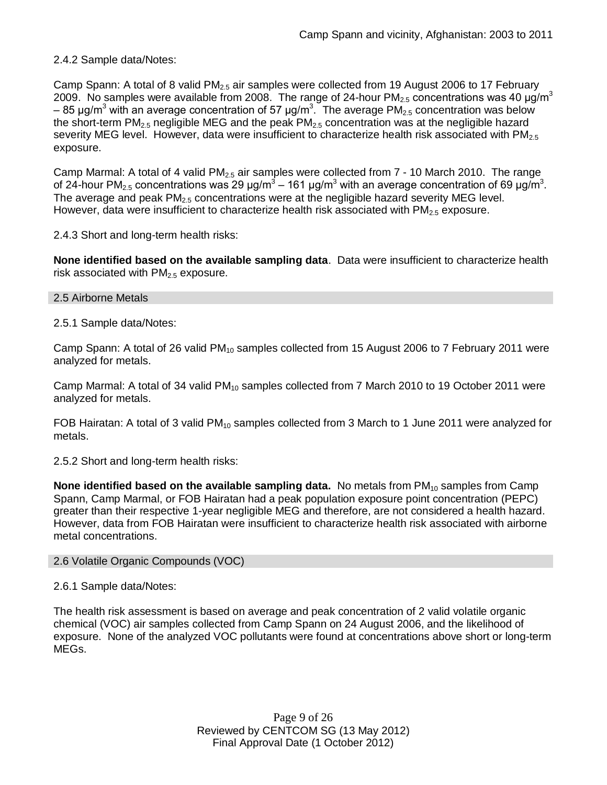2.4.2 Sample data/Notes:

Camp Spann: A total of 8 valid  $PM_{2.5}$  air samples were collected from 19 August 2006 to 17 February 2009. No samples were available from 2008. The range of 24-hour PM<sub>2.5</sub> concentrations was 40  $\mu$ g/m<sup>3</sup> – 85 μg/m<sup>3</sup> with an average concentration of 57 μg/m<sup>3</sup>. The average PM<sub>2.5</sub> concentration was below the short-term PM<sub>2.5</sub> negligible MEG and the peak PM<sub>2.5</sub> concentration was at the negligible hazard severity MEG level. However, data were insufficient to characterize health risk associated with  $PM<sub>2.5</sub>$ exposure.

Camp Marmal: A total of 4 valid  $PM<sub>2.5</sub>$  air samples were collected from  $7 - 10$  March 2010. The range of 24-hour PM<sub>2.5</sub> concentrations was 29 μg/m<sup>3</sup> – 161 μg/m<sup>3</sup> with an average concentration of 69 μg/m<sup>3</sup>. The average and peak  $PM<sub>2.5</sub>$  concentrations were at the negligible hazard severity MEG level. However, data were insufficient to characterize health risk associated with  $PM<sub>2.5</sub>$  exposure.

2.4.3 Short and long-term health risks:

**None identified based on the available sampling data**. Data were insufficient to characterize health risk associated with  $PM<sub>2.5</sub>$  exposure.

#### 2.5 Airborne Metals

2.5.1 Sample data/Notes:

Camp Spann: A total of 26 valid  $PM_{10}$  samples collected from 15 August 2006 to 7 February 2011 were analyzed for metals.

Camp Marmal: A total of 34 valid  $PM_{10}$  samples collected from 7 March 2010 to 19 October 2011 were analyzed for metals.

FOB Hairatan: A total of 3 valid  $PM_{10}$  samples collected from 3 March to 1 June 2011 were analyzed for metals.

2.5.2 Short and long-term health risks:

**None identified based on the available sampling data.** No metals from PM<sub>10</sub> samples from Camp Spann, Camp Marmal, or FOB Hairatan had a peak population exposure point concentration (PEPC) greater than their respective 1-year negligible MEG and therefore, are not considered a health hazard. However, data from FOB Hairatan were insufficient to characterize health risk associated with airborne metal concentrations.

#### 2.6 Volatile Organic Compounds (VOC)

#### 2.6.1 Sample data/Notes:

The health risk assessment is based on average and peak concentration of 2 valid volatile organic chemical (VOC) air samples collected from Camp Spann on 24 August 2006, and the likelihood of exposure. None of the analyzed VOC pollutants were found at concentrations above short or long-term MEGs.

> Page 9 of 26 Reviewed by CENTCOM SG (13 May 2012) Final Approval Date (1 October 2012)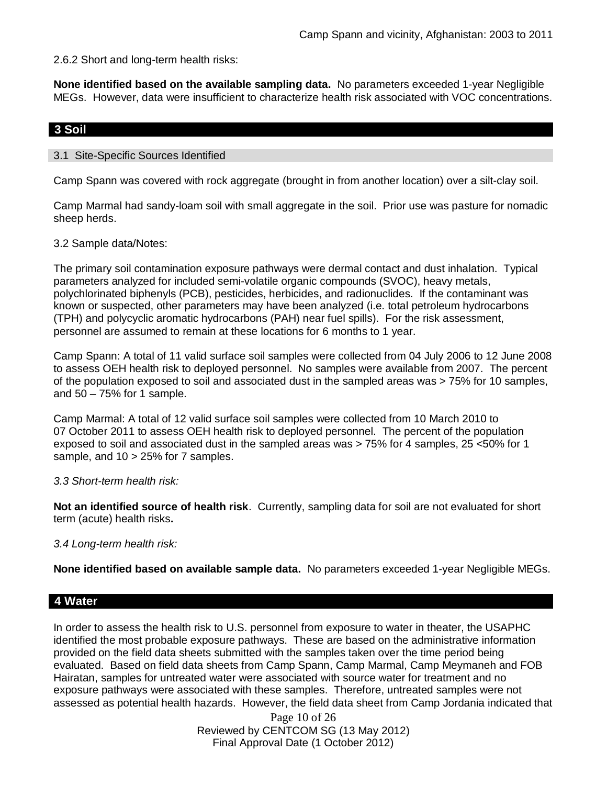2.6.2 Short and long-term health risks:

**None identified based on the available sampling data.** No parameters exceeded 1-year Negligible MEGs. However, data were insufficient to characterize health risk associated with VOC concentrations.

# **3 Soil**

#### 3.1 Site-Specific Sources Identified

Camp Spann was covered with rock aggregate (brought in from another location) over a silt-clay soil.

Camp Marmal had sandy-loam soil with small aggregate in the soil. Prior use was pasture for nomadic sheep herds.

#### 3.2 Sample data/Notes:

The primary soil contamination exposure pathways were dermal contact and dust inhalation. Typical parameters analyzed for included semi-volatile organic compounds (SVOC), heavy metals, polychlorinated biphenyls (PCB), pesticides, herbicides, and radionuclides. If the contaminant was known or suspected, other parameters may have been analyzed (i.e. total petroleum hydrocarbons (TPH) and polycyclic aromatic hydrocarbons (PAH) near fuel spills). For the risk assessment, personnel are assumed to remain at these locations for 6 months to 1 year.

Camp Spann: A total of 11 valid surface soil samples were collected from 04 July 2006 to 12 June 2008 to assess OEH health risk to deployed personnel. No samples were available from 2007. The percent of the population exposed to soil and associated dust in the sampled areas was > 75% for 10 samples, and  $50 - 75%$  for 1 sample.

Camp Marmal: A total of 12 valid surface soil samples were collected from 10 March 2010 to 07 October 2011 to assess OEH health risk to deployed personnel. The percent of the population exposed to soil and associated dust in the sampled areas was > 75% for 4 samples, 25 <50% for 1 sample, and 10 > 25% for 7 samples.

#### *3.3 Short-term health risk:*

**Not an identified source of health risk**. Currently, sampling data for soil are not evaluated for short term (acute) health risks**.**

#### *3.4 Long-term health risk:*

**None identified based on available sample data.** No parameters exceeded 1-year Negligible MEGs.

### **4 Water**

In order to assess the health risk to U.S. personnel from exposure to water in theater, the USAPHC identified the most probable exposure pathways. These are based on the administrative information provided on the field data sheets submitted with the samples taken over the time period being evaluated. Based on field data sheets from Camp Spann, Camp Marmal, Camp Meymaneh and FOB Hairatan, samples for untreated water were associated with source water for treatment and no exposure pathways were associated with these samples. Therefore, untreated samples were not assessed as potential health hazards. However, the field data sheet from Camp Jordania indicated that

> Page 10 of 26 Reviewed by CENTCOM SG (13 May 2012) Final Approval Date (1 October 2012)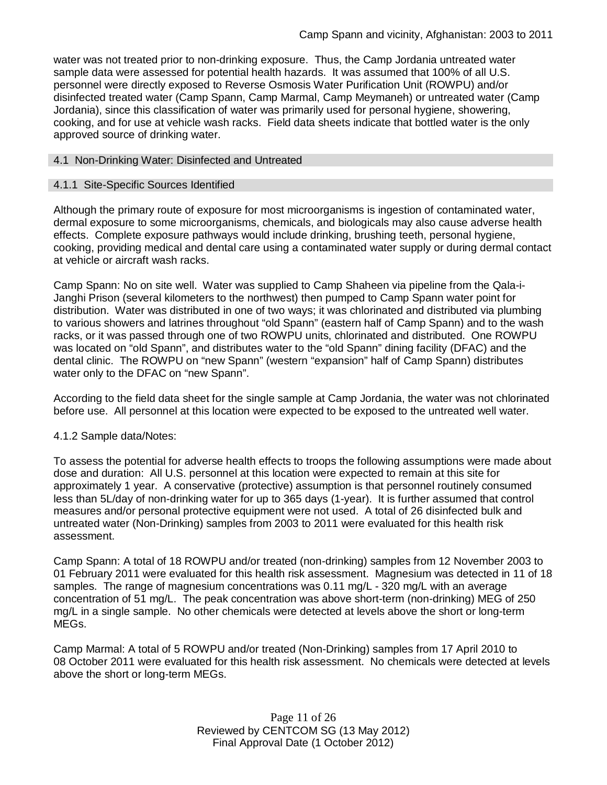water was not treated prior to non-drinking exposure. Thus, the Camp Jordania untreated water sample data were assessed for potential health hazards. It was assumed that 100% of all U.S. personnel were directly exposed to Reverse Osmosis Water Purification Unit (ROWPU) and/or disinfected treated water (Camp Spann, Camp Marmal, Camp Meymaneh) or untreated water (Camp Jordania), since this classification of water was primarily used for personal hygiene, showering, cooking, and for use at vehicle wash racks. Field data sheets indicate that bottled water is the only approved source of drinking water.

#### 4.1 Non-Drinking Water: Disinfected and Untreated

#### 4.1.1 Site-Specific Sources Identified

Although the primary route of exposure for most microorganisms is ingestion of contaminated water, dermal exposure to some microorganisms, chemicals, and biologicals may also cause adverse health effects. Complete exposure pathways would include drinking, brushing teeth, personal hygiene, cooking, providing medical and dental care using a contaminated water supply or during dermal contact at vehicle or aircraft wash racks.

Camp Spann: No on site well. Water was supplied to Camp Shaheen via pipeline from the Qala-i-Janghi Prison (several kilometers to the northwest) then pumped to Camp Spann water point for distribution. Water was distributed in one of two ways; it was chlorinated and distributed via plumbing to various showers and latrines throughout "old Spann" (eastern half of Camp Spann) and to the wash racks, or it was passed through one of two ROWPU units, chlorinated and distributed. One ROWPU was located on "old Spann", and distributes water to the "old Spann" dining facility (DFAC) and the dental clinic. The ROWPU on "new Spann" (western "expansion" half of Camp Spann) distributes water only to the DFAC on "new Spann".

According to the field data sheet for the single sample at Camp Jordania, the water was not chlorinated before use. All personnel at this location were expected to be exposed to the untreated well water.

#### 4.1.2 Sample data/Notes:

To assess the potential for adverse health effects to troops the following assumptions were made about dose and duration: All U.S. personnel at this location were expected to remain at this site for approximately 1 year. A conservative (protective) assumption is that personnel routinely consumed less than 5L/day of non-drinking water for up to 365 days (1-year). It is further assumed that control measures and/or personal protective equipment were not used. A total of 26 disinfected bulk and untreated water (Non-Drinking) samples from 2003 to 2011 were evaluated for this health risk assessment.

Camp Spann: A total of 18 ROWPU and/or treated (non-drinking) samples from 12 November 2003 to 01 February 2011 were evaluated for this health risk assessment. Magnesium was detected in 11 of 18 samples. The range of magnesium concentrations was 0.11 mg/L - 320 mg/L with an average concentration of 51 mg/L. The peak concentration was above short-term (non-drinking) MEG of 250 mg/L in a single sample. No other chemicals were detected at levels above the short or long-term MEGs.

Camp Marmal: A total of 5 ROWPU and/or treated (Non-Drinking) samples from 17 April 2010 to 08 October 2011 were evaluated for this health risk assessment. No chemicals were detected at levels above the short or long-term MEGs.

> Page 11 of 26 Reviewed by CENTCOM SG (13 May 2012) Final Approval Date (1 October 2012)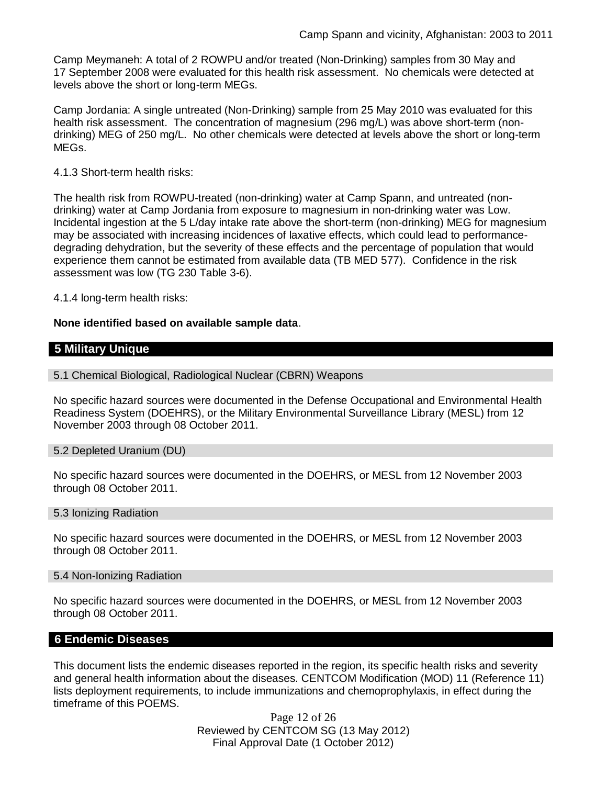Camp Meymaneh: A total of 2 ROWPU and/or treated (Non-Drinking) samples from 30 May and 17 September 2008 were evaluated for this health risk assessment. No chemicals were detected at levels above the short or long-term MEGs.

Camp Jordania: A single untreated (Non-Drinking) sample from 25 May 2010 was evaluated for this health risk assessment. The concentration of magnesium (296 mg/L) was above short-term (nondrinking) MEG of 250 mg/L. No other chemicals were detected at levels above the short or long-term MEGs.

4.1.3 Short-term health risks:

The health risk from ROWPU-treated (non-drinking) water at Camp Spann, and untreated (nondrinking) water at Camp Jordania from exposure to magnesium in non-drinking water was Low. Incidental ingestion at the 5 L/day intake rate above the short-term (non-drinking) MEG for magnesium may be associated with increasing incidences of laxative effects, which could lead to performancedegrading dehydration, but the severity of these effects and the percentage of population that would experience them cannot be estimated from available data (TB MED 577). Confidence in the risk assessment was low (TG 230 Table 3-6).

4.1.4 long-term health risks:

#### **None identified based on available sample data**.

## **5 Military Unique**

5.1 Chemical Biological, Radiological Nuclear (CBRN) Weapons

No specific hazard sources were documented in the Defense Occupational and Environmental Health Readiness System (DOEHRS), or the Military Environmental Surveillance Library (MESL) from 12 November 2003 through 08 October 2011.

#### 5.2 Depleted Uranium (DU)

No specific hazard sources were documented in the DOEHRS, or MESL from 12 November 2003 through 08 October 2011.

#### 5.3 Ionizing Radiation

No specific hazard sources were documented in the DOEHRS, or MESL from 12 November 2003 through 08 October 2011.

#### 5.4 Non-Ionizing Radiation

No specific hazard sources were documented in the DOEHRS, or MESL from 12 November 2003 through 08 October 2011.

### **6 Endemic Diseases**

This document lists the endemic diseases reported in the region, its specific health risks and severity and general health information about the diseases. CENTCOM Modification (MOD) 11 (Reference 11) lists deployment requirements, to include immunizations and chemoprophylaxis, in effect during the timeframe of this POEMS.

> Page 12 of 26 Reviewed by CENTCOM SG (13 May 2012) Final Approval Date (1 October 2012)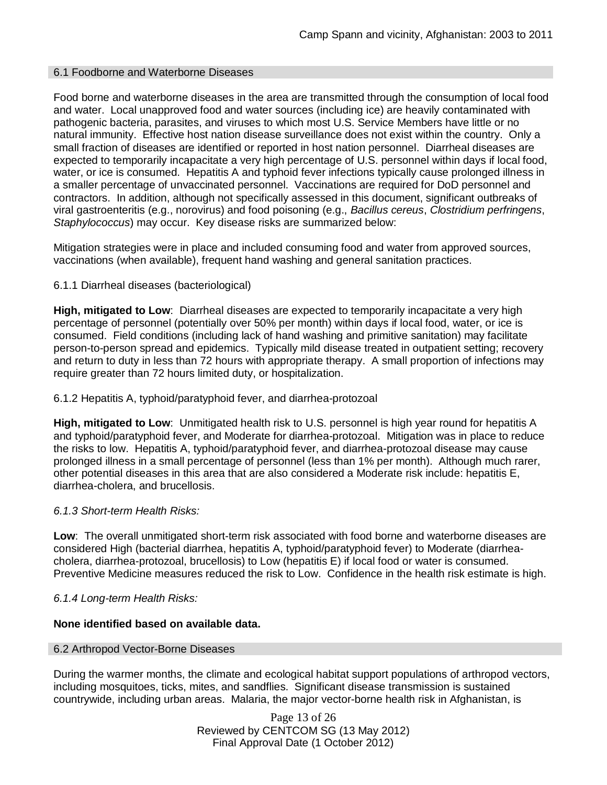#### 6.1 Foodborne and Waterborne Diseases

Food borne and waterborne diseases in the area are transmitted through the consumption of local food and water. Local unapproved food and water sources (including ice) are heavily contaminated with pathogenic bacteria, parasites, and viruses to which most U.S. Service Members have little or no natural immunity. Effective host nation disease surveillance does not exist within the country. Only a small fraction of diseases are identified or reported in host nation personnel. Diarrheal diseases are expected to temporarily incapacitate a very high percentage of U.S. personnel within days if local food, water, or ice is consumed. Hepatitis A and typhoid fever infections typically cause prolonged illness in a smaller percentage of unvaccinated personnel. Vaccinations are required for DoD personnel and contractors. In addition, although not specifically assessed in this document, significant outbreaks of viral gastroenteritis (e.g., norovirus) and food poisoning (e.g., *Bacillus cereus*, *Clostridium perfringens*, *Staphylococcus*) may occur. Key disease risks are summarized below:

Mitigation strategies were in place and included consuming food and water from approved sources, vaccinations (when available), frequent hand washing and general sanitation practices.

#### 6.1.1 Diarrheal diseases (bacteriological)

**High, mitigated to Low**: Diarrheal diseases are expected to temporarily incapacitate a very high percentage of personnel (potentially over 50% per month) within days if local food, water, or ice is consumed. Field conditions (including lack of hand washing and primitive sanitation) may facilitate person-to-person spread and epidemics. Typically mild disease treated in outpatient setting; recovery and return to duty in less than 72 hours with appropriate therapy. A small proportion of infections may require greater than 72 hours limited duty, or hospitalization.

#### 6.1.2 Hepatitis A, typhoid/paratyphoid fever, and diarrhea-protozoal

**High, mitigated to Low**: Unmitigated health risk to U.S. personnel is high year round for hepatitis A and typhoid/paratyphoid fever, and Moderate for diarrhea-protozoal. Mitigation was in place to reduce the risks to low. Hepatitis A, typhoid/paratyphoid fever, and diarrhea-protozoal disease may cause prolonged illness in a small percentage of personnel (less than 1% per month). Although much rarer, other potential diseases in this area that are also considered a Moderate risk include: hepatitis E, diarrhea-cholera, and brucellosis.

#### *6.1.3 Short-term Health Risks:*

**Low**: The overall unmitigated short-term risk associated with food borne and waterborne diseases are considered High (bacterial diarrhea, hepatitis A, typhoid/paratyphoid fever) to Moderate (diarrheacholera, diarrhea-protozoal, brucellosis) to Low (hepatitis E) if local food or water is consumed. Preventive Medicine measures reduced the risk to Low. Confidence in the health risk estimate is high.

#### *6.1.4 Long-term Health Risks:*

#### **None identified based on available data.**

#### 6.2 Arthropod Vector-Borne Diseases

During the warmer months, the climate and ecological habitat support populations of arthropod vectors, including mosquitoes, ticks, mites, and sandflies. Significant disease transmission is sustained countrywide, including urban areas. Malaria, the major vector-borne health risk in Afghanistan, is

> Page 13 of 26 Reviewed by CENTCOM SG (13 May 2012) Final Approval Date (1 October 2012)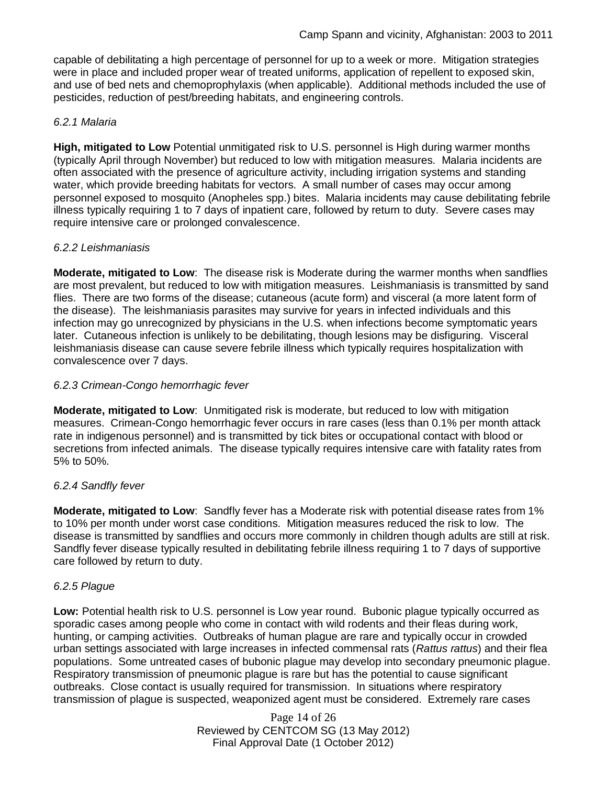capable of debilitating a high percentage of personnel for up to a week or more. Mitigation strategies were in place and included proper wear of treated uniforms, application of repellent to exposed skin, and use of bed nets and chemoprophylaxis (when applicable). Additional methods included the use of pesticides, reduction of pest/breeding habitats, and engineering controls.

### *6.2.1 Malaria*

**High, mitigated to Low** Potential unmitigated risk to U.S. personnel is High during warmer months (typically April through November) but reduced to low with mitigation measures. Malaria incidents are often associated with the presence of agriculture activity, including irrigation systems and standing water, which provide breeding habitats for vectors. A small number of cases may occur among personnel exposed to mosquito (Anopheles spp.) bites. Malaria incidents may cause debilitating febrile illness typically requiring 1 to 7 days of inpatient care, followed by return to duty. Severe cases may require intensive care or prolonged convalescence.

## *6.2.2 Leishmaniasis*

**Moderate, mitigated to Low**: The disease risk is Moderate during the warmer months when sandflies are most prevalent, but reduced to low with mitigation measures. Leishmaniasis is transmitted by sand flies. There are two forms of the disease; cutaneous (acute form) and visceral (a more latent form of the disease). The leishmaniasis parasites may survive for years in infected individuals and this infection may go unrecognized by physicians in the U.S. when infections become symptomatic years later. Cutaneous infection is unlikely to be debilitating, though lesions may be disfiguring. Visceral leishmaniasis disease can cause severe febrile illness which typically requires hospitalization with convalescence over 7 days.

### *6.2.3 Crimean-Congo hemorrhagic fever*

**Moderate, mitigated to Low:** Unmitigated risk is moderate, but reduced to low with mitigation measures. Crimean-Congo hemorrhagic fever occurs in rare cases (less than 0.1% per month attack rate in indigenous personnel) and is transmitted by tick bites or occupational contact with blood or secretions from infected animals. The disease typically requires intensive care with fatality rates from 5% to 50%.

# *6.2.4 Sandfly fever*

**Moderate, mitigated to Low**: Sandfly fever has a Moderate risk with potential disease rates from 1% to 10% per month under worst case conditions. Mitigation measures reduced the risk to low. The disease is transmitted by sandflies and occurs more commonly in children though adults are still at risk. Sandfly fever disease typically resulted in debilitating febrile illness requiring 1 to 7 days of supportive care followed by return to duty.

### *6.2.5 Plague*

**Low:** Potential health risk to U.S. personnel is Low year round. Bubonic plague typically occurred as sporadic cases among people who come in contact with wild rodents and their fleas during work, hunting, or camping activities. Outbreaks of human plague are rare and typically occur in crowded urban settings associated with large increases in infected commensal rats (*Rattus rattus*) and their flea populations. Some untreated cases of bubonic plague may develop into secondary pneumonic plague. Respiratory transmission of pneumonic plague is rare but has the potential to cause significant outbreaks. Close contact is usually required for transmission. In situations where respiratory transmission of plague is suspected, weaponized agent must be considered. Extremely rare cases

> Page 14 of 26 Reviewed by CENTCOM SG (13 May 2012) Final Approval Date (1 October 2012)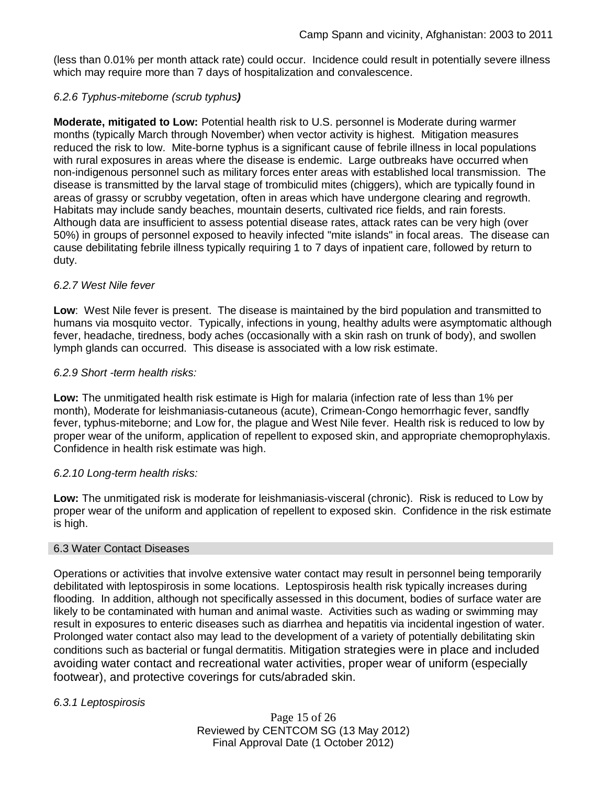(less than 0.01% per month attack rate) could occur. Incidence could result in potentially severe illness which may require more than 7 days of hospitalization and convalescence.

## *6.2.6 Typhus-miteborne (scrub typhus)*

**Moderate, mitigated to Low:** Potential health risk to U.S. personnel is Moderate during warmer months (typically March through November) when vector activity is highest. Mitigation measures reduced the risk to low. Mite-borne typhus is a significant cause of febrile illness in local populations with rural exposures in areas where the disease is endemic. Large outbreaks have occurred when non-indigenous personnel such as military forces enter areas with established local transmission. The disease is transmitted by the larval stage of trombiculid mites (chiggers), which are typically found in areas of grassy or scrubby vegetation, often in areas which have undergone clearing and regrowth. Habitats may include sandy beaches, mountain deserts, cultivated rice fields, and rain forests. Although data are insufficient to assess potential disease rates, attack rates can be very high (over 50%) in groups of personnel exposed to heavily infected "mite islands" in focal areas. The disease can cause debilitating febrile illness typically requiring 1 to 7 days of inpatient care, followed by return to duty.

### *6.2.7 West Nile fever*

**Low**: West Nile fever is present. The disease is maintained by the bird population and transmitted to humans via mosquito vector. Typically, infections in young, healthy adults were asymptomatic although fever, headache, tiredness, body aches (occasionally with a skin rash on trunk of body), and swollen lymph glands can occurred. This disease is associated with a low risk estimate.

## *6.2.9 Short -term health risks:*

**Low:** The unmitigated health risk estimate is High for malaria (infection rate of less than 1% per month), Moderate for leishmaniasis-cutaneous (acute), Crimean-Congo hemorrhagic fever, sandfly fever, typhus-miteborne; and Low for, the plague and West Nile fever. Health risk is reduced to low by proper wear of the uniform, application of repellent to exposed skin, and appropriate chemoprophylaxis. Confidence in health risk estimate was high.

# *6.2.10 Long-term health risks:*

**Low:** The unmitigated risk is moderate for leishmaniasis-visceral (chronic). Risk is reduced to Low by proper wear of the uniform and application of repellent to exposed skin. Confidence in the risk estimate is high.

### 6.3 Water Contact Diseases

Operations or activities that involve extensive water contact may result in personnel being temporarily debilitated with leptospirosis in some locations. Leptospirosis health risk typically increases during flooding. In addition, although not specifically assessed in this document, bodies of surface water are likely to be contaminated with human and animal waste. Activities such as wading or swimming may result in exposures to enteric diseases such as diarrhea and hepatitis via incidental ingestion of water. Prolonged water contact also may lead to the development of a variety of potentially debilitating skin conditions such as bacterial or fungal dermatitis. Mitigation strategies were in place and included avoiding water contact and recreational water activities, proper wear of uniform (especially footwear), and protective coverings for cuts/abraded skin.

### *6.3.1 Leptospirosis*

Page 15 of 26 Reviewed by CENTCOM SG (13 May 2012) Final Approval Date (1 October 2012)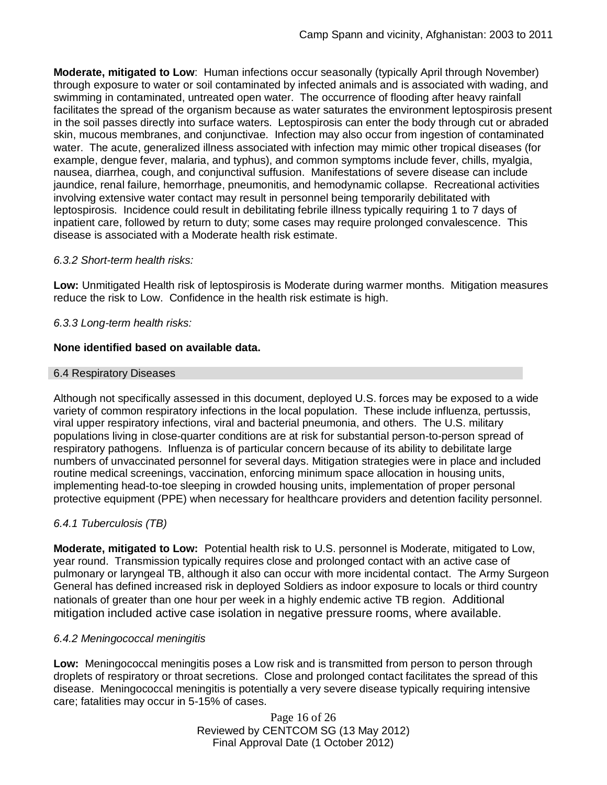**Moderate, mitigated to Low**: Human infections occur seasonally (typically April through November) through exposure to water or soil contaminated by infected animals and is associated with wading, and swimming in contaminated, untreated open water. The occurrence of flooding after heavy rainfall facilitates the spread of the organism because as water saturates the environment leptospirosis present in the soil passes directly into surface waters. Leptospirosis can enter the body through cut or abraded skin, mucous membranes, and conjunctivae. Infection may also occur from ingestion of contaminated water. The acute, generalized illness associated with infection may mimic other tropical diseases (for example, dengue fever, malaria, and typhus), and common symptoms include fever, chills, myalgia, nausea, diarrhea, cough, and conjunctival suffusion. Manifestations of severe disease can include jaundice, renal failure, hemorrhage, pneumonitis, and hemodynamic collapse. Recreational activities involving extensive water contact may result in personnel being temporarily debilitated with leptospirosis. Incidence could result in debilitating febrile illness typically requiring 1 to 7 days of inpatient care, followed by return to duty; some cases may require prolonged convalescence. This disease is associated with a Moderate health risk estimate.

### *6.3.2 Short-term health risks:*

**Low:** Unmitigated Health risk of leptospirosis is Moderate during warmer months. Mitigation measures reduce the risk to Low. Confidence in the health risk estimate is high.

## *6.3.3 Long-term health risks:*

## **None identified based on available data.**

### 6.4 Respiratory Diseases

Although not specifically assessed in this document, deployed U.S. forces may be exposed to a wide variety of common respiratory infections in the local population. These include influenza, pertussis, viral upper respiratory infections, viral and bacterial pneumonia, and others. The U.S. military populations living in close-quarter conditions are at risk for substantial person-to-person spread of respiratory pathogens. Influenza is of particular concern because of its ability to debilitate large numbers of unvaccinated personnel for several days. Mitigation strategies were in place and included routine medical screenings, vaccination, enforcing minimum space allocation in housing units, implementing head-to-toe sleeping in crowded housing units, implementation of proper personal protective equipment (PPE) when necessary for healthcare providers and detention facility personnel.

# *6.4.1 Tuberculosis (TB)*

**Moderate, mitigated to Low:** Potential health risk to U.S. personnel is Moderate, mitigated to Low, year round. Transmission typically requires close and prolonged contact with an active case of pulmonary or laryngeal TB, although it also can occur with more incidental contact. The Army Surgeon General has defined increased risk in deployed Soldiers as indoor exposure to locals or third country nationals of greater than one hour per week in a highly endemic active TB region. Additional mitigation included active case isolation in negative pressure rooms, where available.

### *6.4.2 Meningococcal meningitis*

**Low:** Meningococcal meningitis poses a Low risk and is transmitted from person to person through droplets of respiratory or throat secretions. Close and prolonged contact facilitates the spread of this disease. Meningococcal meningitis is potentially a very severe disease typically requiring intensive care; fatalities may occur in 5-15% of cases.

> Page 16 of 26 Reviewed by CENTCOM SG (13 May 2012) Final Approval Date (1 October 2012)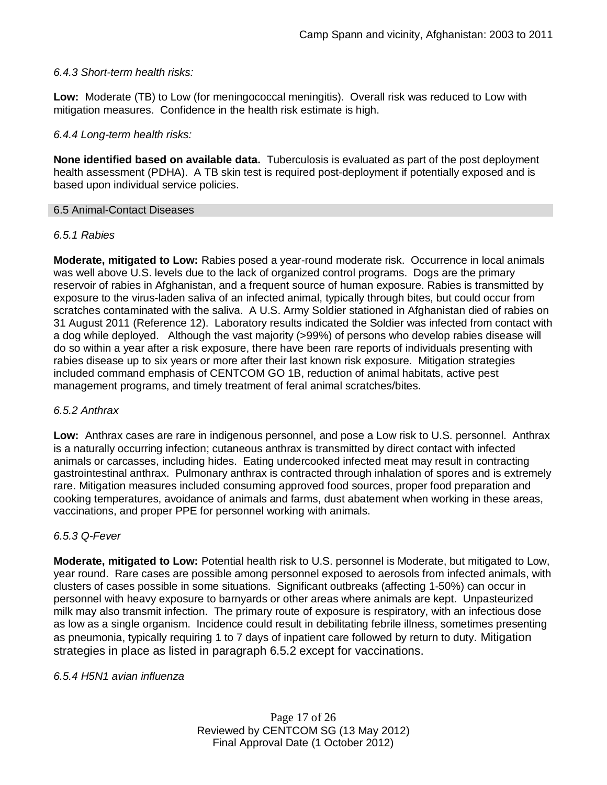### *6.4.3 Short-term health risks:*

**Low:** Moderate (TB) to Low (for meningococcal meningitis). Overall risk was reduced to Low with mitigation measures. Confidence in the health risk estimate is high.

### *6.4.4 Long-term health risks:*

**None identified based on available data.** Tuberculosis is evaluated as part of the post deployment health assessment (PDHA). A TB skin test is required post-deployment if potentially exposed and is based upon individual service policies.

#### 6.5 Animal-Contact Diseases

### *6.5.1 Rabies*

**Moderate, mitigated to Low:** Rabies posed a year-round moderate risk. Occurrence in local animals was well above U.S. levels due to the lack of organized control programs. Dogs are the primary reservoir of rabies in Afghanistan, and a frequent source of human exposure. Rabies is transmitted by exposure to the virus-laden saliva of an infected animal, typically through bites, but could occur from scratches contaminated with the saliva. A U.S. Army Soldier stationed in Afghanistan died of rabies on 31 August 2011 (Reference 12). Laboratory results indicated the Soldier was infected from contact with a dog while deployed. Although the vast majority (>99%) of persons who develop rabies disease will do so within a year after a risk exposure, there have been rare reports of individuals presenting with rabies disease up to six years or more after their last known risk exposure. Mitigation strategies included command emphasis of CENTCOM GO 1B, reduction of animal habitats, active pest management programs, and timely treatment of feral animal scratches/bites.

#### *6.5.2 Anthrax*

**Low:** Anthrax cases are rare in indigenous personnel, and pose a Low risk to U.S. personnel. Anthrax is a naturally occurring infection; cutaneous anthrax is transmitted by direct contact with infected animals or carcasses, including hides. Eating undercooked infected meat may result in contracting gastrointestinal anthrax. Pulmonary anthrax is contracted through inhalation of spores and is extremely rare. Mitigation measures included consuming approved food sources, proper food preparation and cooking temperatures, avoidance of animals and farms, dust abatement when working in these areas, vaccinations, and proper PPE for personnel working with animals.

#### *6.5.3 Q-Fever*

**Moderate, mitigated to Low:** Potential health risk to U.S. personnel is Moderate, but mitigated to Low, year round. Rare cases are possible among personnel exposed to aerosols from infected animals, with clusters of cases possible in some situations. Significant outbreaks (affecting 1-50%) can occur in personnel with heavy exposure to barnyards or other areas where animals are kept. Unpasteurized milk may also transmit infection. The primary route of exposure is respiratory, with an infectious dose as low as a single organism. Incidence could result in debilitating febrile illness, sometimes presenting as pneumonia, typically requiring 1 to 7 days of inpatient care followed by return to duty. Mitigation strategies in place as listed in paragraph 6.5.2 except for vaccinations.

### *6.5.4 H5N1 avian influenza*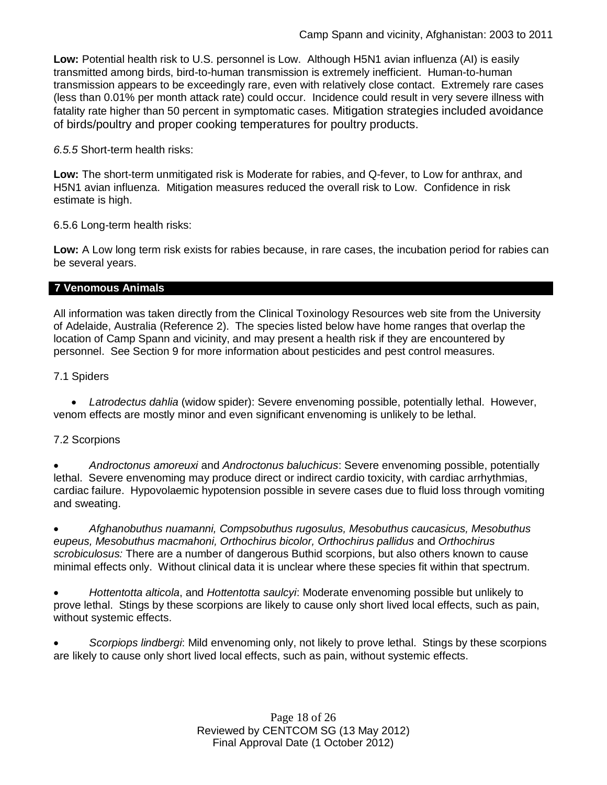**Low:** Potential health risk to U.S. personnel is Low. Although H5N1 avian influenza (AI) is easily transmitted among birds, bird-to-human transmission is extremely inefficient. Human-to-human transmission appears to be exceedingly rare, even with relatively close contact. Extremely rare cases (less than 0.01% per month attack rate) could occur. Incidence could result in very severe illness with fatality rate higher than 50 percent in symptomatic cases. Mitigation strategies included avoidance of birds/poultry and proper cooking temperatures for poultry products.

*6.5.5* Short-term health risks:

**Low:** The short-term unmitigated risk is Moderate for rabies, and Q-fever, to Low for anthrax, and H5N1 avian influenza. Mitigation measures reduced the overall risk to Low. Confidence in risk estimate is high.

6.5.6 Long-term health risks:

**Low:** A Low long term risk exists for rabies because, in rare cases, the incubation period for rabies can be several years.

#### **7 Venomous Animals**

All information was taken directly from the Clinical Toxinology Resources web site from the University of Adelaide, Australia (Reference 2). The species listed below have home ranges that overlap the location of Camp Spann and vicinity, and may present a health risk if they are encountered by personnel. See Section 9 for more information about pesticides and pest control measures.

7.1 Spiders

 *Latrodectus dahlia* (widow spider): Severe envenoming possible, potentially lethal. However, venom effects are mostly minor and even significant envenoming is unlikely to be lethal.

### 7.2 Scorpions

 *Androctonus amoreuxi* and *Androctonus baluchicus*: Severe envenoming possible, potentially lethal. Severe envenoming may produce direct or indirect cardio toxicity, with cardiac arrhythmias, cardiac failure. Hypovolaemic hypotension possible in severe cases due to fluid loss through vomiting and sweating.

 *Afghanobuthus nuamanni, Compsobuthus rugosulus, Mesobuthus caucasicus, Mesobuthus eupeus, Mesobuthus macmahoni, Orthochirus bicolor, Orthochirus pallidus* and *Orthochirus scrobiculosus:* There are a number of dangerous Buthid scorpions, but also others known to cause minimal effects only. Without clinical data it is unclear where these species fit within that spectrum.

 *Hottentotta alticola*, and *Hottentotta saulcyi*: Moderate envenoming possible but unlikely to prove lethal. Stings by these scorpions are likely to cause only short lived local effects, such as pain, without systemic effects.

 *Scorpiops lindbergi*: Mild envenoming only, not likely to prove lethal. Stings by these scorpions are likely to cause only short lived local effects, such as pain, without systemic effects.

> Page 18 of 26 Reviewed by CENTCOM SG (13 May 2012) Final Approval Date (1 October 2012)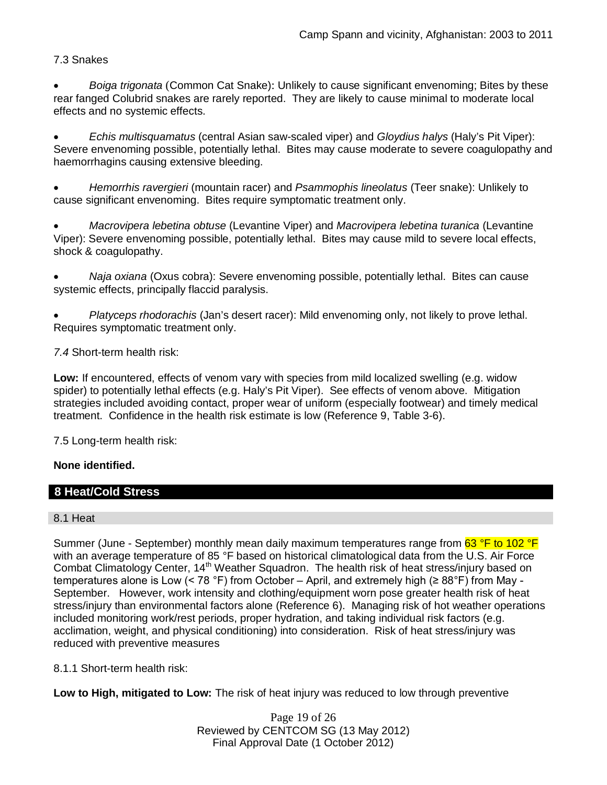# 7.3 Snakes

 *Boiga trigonata* (Common Cat Snake): Unlikely to cause significant envenoming; Bites by these rear fanged Colubrid snakes are rarely reported. They are likely to cause minimal to moderate local effects and no systemic effects.

 *Echis multisquamatus* (central Asian saw-scaled viper) and *Gloydius halys* (Haly's Pit Viper): Severe envenoming possible, potentially lethal. Bites may cause moderate to severe coagulopathy and haemorrhagins causing extensive bleeding.

 *Hemorrhis ravergieri* (mountain racer) and *Psammophis lineolatus* (Teer snake): Unlikely to cause significant envenoming. Bites require symptomatic treatment only.

 *Macrovipera lebetina obtuse* (Levantine Viper) and *Macrovipera lebetina turanica* (Levantine Viper): Severe envenoming possible, potentially lethal. Bites may cause mild to severe local effects, shock & coagulopathy.

 *Naja oxiana* (Oxus cobra): Severe envenoming possible, potentially lethal. Bites can cause systemic effects, principally flaccid paralysis.

 *Platyceps rhodorachis* (Jan's desert racer): Mild envenoming only, not likely to prove lethal. Requires symptomatic treatment only.

*7.4* Short-term health risk:

**Low:** If encountered, effects of venom vary with species from mild localized swelling (e.g. widow spider) to potentially lethal effects (e.g. Haly's Pit Viper). See effects of venom above. Mitigation strategies included avoiding contact, proper wear of uniform (especially footwear) and timely medical treatment. Confidence in the health risk estimate is low (Reference 9, Table 3-6).

7.5 Long-term health risk:

### **None identified.**

### **8 Heat/Cold Stress**

### 8.1 Heat

Summer (June - September) monthly mean daily maximum temperatures range from 63 °F to 102 °F with an average temperature of 85 °F based on historical climatological data from the U.S. Air Force Combat Climatology Center, 14<sup>th</sup> Weather Squadron. The health risk of heat stress/injury based on temperatures alone is Low (< 78 °F) from October – April, and extremely high (≥ 88°F) from May - September. However, work intensity and clothing/equipment worn pose greater health risk of heat stress/injury than environmental factors alone (Reference 6). Managing risk of hot weather operations included monitoring work/rest periods, proper hydration, and taking individual risk factors (e.g. acclimation, weight, and physical conditioning) into consideration. Risk of heat stress/injury was reduced with preventive measures

8.1.1 Short-term health risk:

**Low to High, mitigated to Low:** The risk of heat injury was reduced to low through preventive

Page 19 of 26 Reviewed by CENTCOM SG (13 May 2012) Final Approval Date (1 October 2012)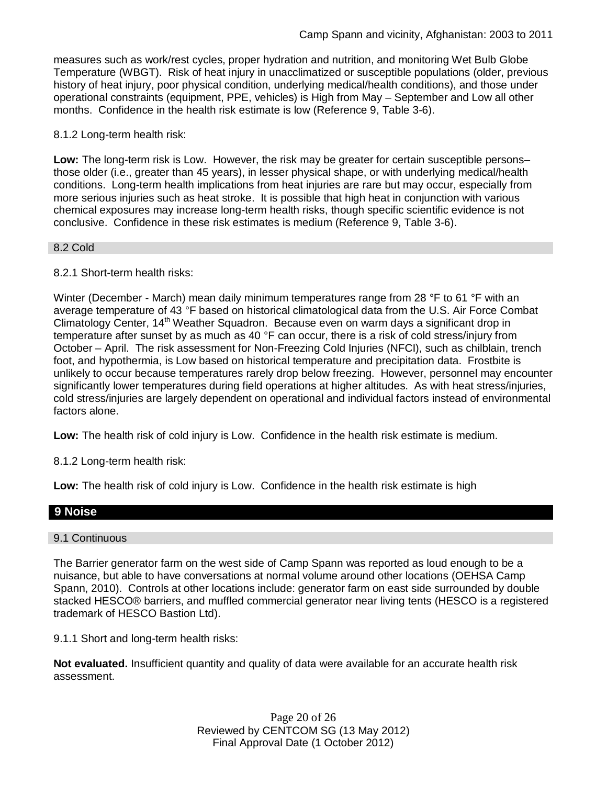measures such as work/rest cycles, proper hydration and nutrition, and monitoring Wet Bulb Globe Temperature (WBGT). Risk of heat injury in unacclimatized or susceptible populations (older, previous history of heat injury, poor physical condition, underlying medical/health conditions), and those under operational constraints (equipment, PPE, vehicles) is High from May – September and Low all other months. Confidence in the health risk estimate is low (Reference 9, Table 3-6).

#### 8.1.2 Long-term health risk:

**Low:** The long-term risk is Low. However, the risk may be greater for certain susceptible persons– those older (i.e., greater than 45 years), in lesser physical shape, or with underlying medical/health conditions. Long-term health implications from heat injuries are rare but may occur, especially from more serious injuries such as heat stroke. It is possible that high heat in conjunction with various chemical exposures may increase long-term health risks, though specific scientific evidence is not conclusive. Confidence in these risk estimates is medium (Reference 9, Table 3-6).

#### 8.2 Cold

### 8.2.1 Short-term health risks:

Winter (December - March) mean daily minimum temperatures range from 28 °F to 61 °F with an average temperature of 43 °F based on historical climatological data from the U.S. Air Force Combat Climatology Center, 14<sup>th</sup> Weather Squadron. Because even on warm days a significant drop in temperature after sunset by as much as 40 °F can occur, there is a risk of cold stress/injury from October – April. The risk assessment for Non-Freezing Cold Injuries (NFCI), such as chilblain, trench foot, and hypothermia, is Low based on historical temperature and precipitation data. Frostbite is unlikely to occur because temperatures rarely drop below freezing. However, personnel may encounter significantly lower temperatures during field operations at higher altitudes. As with heat stress/injuries, cold stress/injuries are largely dependent on operational and individual factors instead of environmental factors alone.

**Low:** The health risk of cold injury is Low. Confidence in the health risk estimate is medium.

8.1.2 Long-term health risk:

**Low:** The health risk of cold injury is Low. Confidence in the health risk estimate is high

### **9 Noise**

#### 9.1 Continuous

The Barrier generator farm on the west side of Camp Spann was reported as loud enough to be a nuisance, but able to have conversations at normal volume around other locations (OEHSA Camp Spann, 2010). Controls at other locations include: generator farm on east side surrounded by double stacked HESCO® barriers, and muffled commercial generator near living tents (HESCO is a registered trademark of HESCO Bastion Ltd).

9.1.1 Short and long-term health risks:

**Not evaluated.** Insufficient quantity and quality of data were available for an accurate health risk assessment.

> Page 20 of 26 Reviewed by CENTCOM SG (13 May 2012) Final Approval Date (1 October 2012)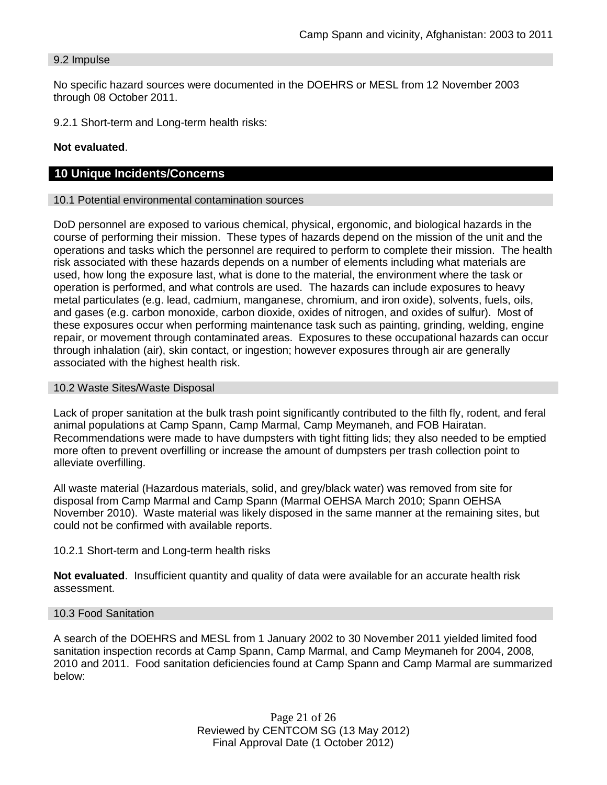#### 9.2 Impulse

No specific hazard sources were documented in the DOEHRS or MESL from 12 November 2003 through 08 October 2011.

9.2.1 Short-term and Long-term health risks:

#### **Not evaluated**.

### **10 Unique Incidents/Concerns**

#### 10.1 Potential environmental contamination sources

DoD personnel are exposed to various chemical, physical, ergonomic, and biological hazards in the course of performing their mission. These types of hazards depend on the mission of the unit and the operations and tasks which the personnel are required to perform to complete their mission. The health risk associated with these hazards depends on a number of elements including what materials are used, how long the exposure last, what is done to the material, the environment where the task or operation is performed, and what controls are used. The hazards can include exposures to heavy metal particulates (e.g. lead, cadmium, manganese, chromium, and iron oxide), solvents, fuels, oils, and gases (e.g. carbon monoxide, carbon dioxide, oxides of nitrogen, and oxides of sulfur). Most of these exposures occur when performing maintenance task such as painting, grinding, welding, engine repair, or movement through contaminated areas. Exposures to these occupational hazards can occur through inhalation (air), skin contact, or ingestion; however exposures through air are generally associated with the highest health risk.

#### 10.2 Waste Sites/Waste Disposal

Lack of proper sanitation at the bulk trash point significantly contributed to the filth fly, rodent, and feral animal populations at Camp Spann, Camp Marmal, Camp Meymaneh, and FOB Hairatan. Recommendations were made to have dumpsters with tight fitting lids; they also needed to be emptied more often to prevent overfilling or increase the amount of dumpsters per trash collection point to alleviate overfilling.

All waste material (Hazardous materials, solid, and grey/black water) was removed from site for disposal from Camp Marmal and Camp Spann (Marmal OEHSA March 2010; Spann OEHSA November 2010). Waste material was likely disposed in the same manner at the remaining sites, but could not be confirmed with available reports.

#### 10.2.1 Short-term and Long-term health risks

**Not evaluated**. Insufficient quantity and quality of data were available for an accurate health risk assessment.

#### 10.3 Food Sanitation

A search of the DOEHRS and MESL from 1 January 2002 to 30 November 2011 yielded limited food sanitation inspection records at Camp Spann, Camp Marmal, and Camp Meymaneh for 2004, 2008, 2010 and 2011. Food sanitation deficiencies found at Camp Spann and Camp Marmal are summarized below:

> Page 21 of 26 Reviewed by CENTCOM SG (13 May 2012) Final Approval Date (1 October 2012)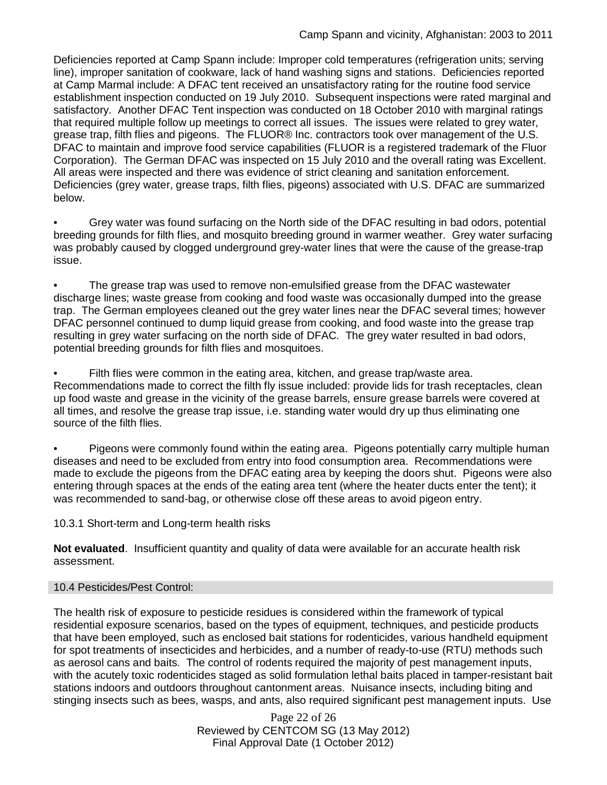Deficiencies reported at Camp Spann include: Improper cold temperatures (refrigeration units; serving line), improper sanitation of cookware, lack of hand washing signs and stations. Deficiencies reported at Camp Marmal include: A DFAC tent received an unsatisfactory rating for the routine food service establishment inspection conducted on 19 July 2010. Subsequent inspections were rated marginal and satisfactory. Another DFAC Tent inspection was conducted on 18 October 2010 with marginal ratings that required multiple follow up meetings to correct all issues. The issues were related to grey water, grease trap, filth flies and pigeons. The FLUOR® Inc. contractors took over management of the U.S. DFAC to maintain and improve food service capabilities (FLUOR is a registered trademark of the Fluor Corporation). The German DFAC was inspected on 15 July 2010 and the overall rating was Excellent. All areas were inspected and there was evidence of strict cleaning and sanitation enforcement. Deficiencies (grey water, grease traps, filth flies, pigeons) associated with U.S. DFAC are summarized below.

• Grey water was found surfacing on the North side of the DFAC resulting in bad odors, potential breeding grounds for filth flies, and mosquito breeding ground in warmer weather. Grey water surfacing was probably caused by clogged underground grey-water lines that were the cause of the grease-trap issue.

• The grease trap was used to remove non-emulsified grease from the DFAC wastewater discharge lines; waste grease from cooking and food waste was occasionally dumped into the grease trap. The German employees cleaned out the grey water lines near the DFAC several times; however DFAC personnel continued to dump liquid grease from cooking, and food waste into the grease trap resulting in grey water surfacing on the north side of DFAC. The grey water resulted in bad odors, potential breeding grounds for filth flies and mosquitoes.

Filth flies were common in the eating area, kitchen, and grease trap/waste area. Recommendations made to correct the filth fly issue included: provide lids for trash receptacles, clean up food waste and grease in the vicinity of the grease barrels, ensure grease barrels were covered at all times, and resolve the grease trap issue, i.e. standing water would dry up thus eliminating one source of the filth flies.

• Pigeons were commonly found within the eating area. Pigeons potentially carry multiple human diseases and need to be excluded from entry into food consumption area. Recommendations were made to exclude the pigeons from the DFAC eating area by keeping the doors shut. Pigeons were also entering through spaces at the ends of the eating area tent (where the heater ducts enter the tent); it was recommended to sand-bag, or otherwise close off these areas to avoid pigeon entry.

10.3.1 Short-term and Long-term health risks

**Not evaluated**. Insufficient quantity and quality of data were available for an accurate health risk assessment.

### 10.4 Pesticides/Pest Control:

The health risk of exposure to pesticide residues is considered within the framework of typical residential exposure scenarios, based on the types of equipment, techniques, and pesticide products that have been employed, such as enclosed bait stations for rodenticides, various handheld equipment for spot treatments of insecticides and herbicides, and a number of ready-to-use (RTU) methods such as aerosol cans and baits. The control of rodents required the majority of pest management inputs, with the acutely toxic rodenticides staged as solid formulation lethal baits placed in tamper-resistant bait stations indoors and outdoors throughout cantonment areas. Nuisance insects, including biting and stinging insects such as bees, wasps, and ants, also required significant pest management inputs. Use

> Page 22 of 26 Reviewed by CENTCOM SG (13 May 2012) Final Approval Date (1 October 2012)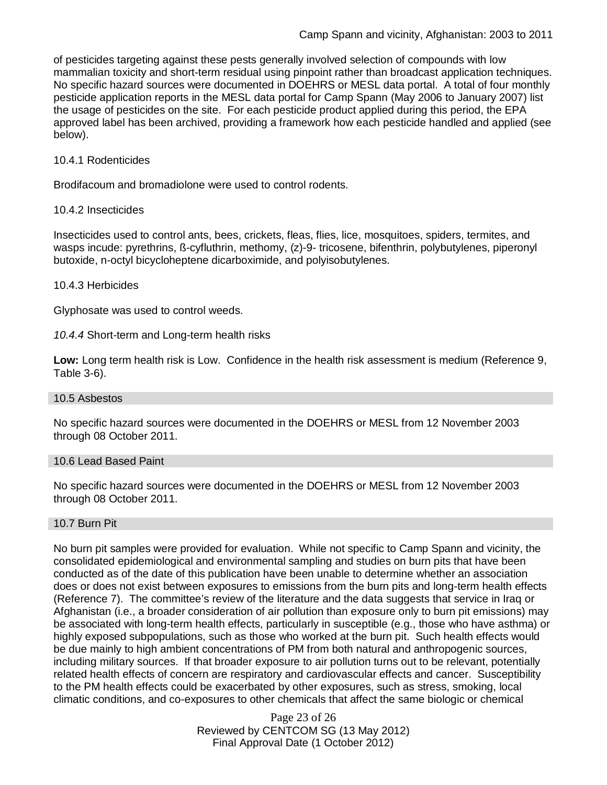of pesticides targeting against these pests generally involved selection of compounds with low mammalian toxicity and short-term residual using pinpoint rather than broadcast application techniques. No specific hazard sources were documented in DOEHRS or MESL data portal. A total of four monthly pesticide application reports in the MESL data portal for Camp Spann (May 2006 to January 2007) list the usage of pesticides on the site. For each pesticide product applied during this period, the EPA approved label has been archived, providing a framework how each pesticide handled and applied (see below).

#### 10.4.1 Rodenticides

Brodifacoum and bromadiolone were used to control rodents.

#### 10.4.2 Insecticides

Insecticides used to control ants, bees, crickets, fleas, flies, lice, mosquitoes, spiders, termites, and wasps incude: pyrethrins, ß-cyfluthrin, methomy, (z)-9- tricosene, bifenthrin, polybutylenes, piperonyl butoxide, n-octyl bicycloheptene dicarboximide, and polyisobutylenes.

#### 10.4.3 Herbicides

Glyphosate was used to control weeds.

*10.4.4* Short-term and Long-term health risks

**Low:** Long term health risk is Low. Confidence in the health risk assessment is medium (Reference 9, Table 3-6).

#### 10.5 Asbestos

No specific hazard sources were documented in the DOEHRS or MESL from 12 November 2003 through 08 October 2011.

#### 10.6 Lead Based Paint

No specific hazard sources were documented in the DOEHRS or MESL from 12 November 2003 through 08 October 2011.

#### 10.7 Burn Pit

No burn pit samples were provided for evaluation. While not specific to Camp Spann and vicinity, the consolidated epidemiological and environmental sampling and studies on burn pits that have been conducted as of the date of this publication have been unable to determine whether an association does or does not exist between exposures to emissions from the burn pits and long-term health effects (Reference 7). The committee's review of the literature and the data suggests that service in Iraq or Afghanistan (i.e., a broader consideration of air pollution than exposure only to burn pit emissions) may be associated with long-term health effects, particularly in susceptible (e.g., those who have asthma) or highly exposed subpopulations, such as those who worked at the burn pit. Such health effects would be due mainly to high ambient concentrations of PM from both natural and anthropogenic sources, including military sources. If that broader exposure to air pollution turns out to be relevant, potentially related health effects of concern are respiratory and cardiovascular effects and cancer. Susceptibility to the PM health effects could be exacerbated by other exposures, such as stress, smoking, local climatic conditions, and co-exposures to other chemicals that affect the same biologic or chemical

> Page 23 of 26 Reviewed by CENTCOM SG (13 May 2012) Final Approval Date (1 October 2012)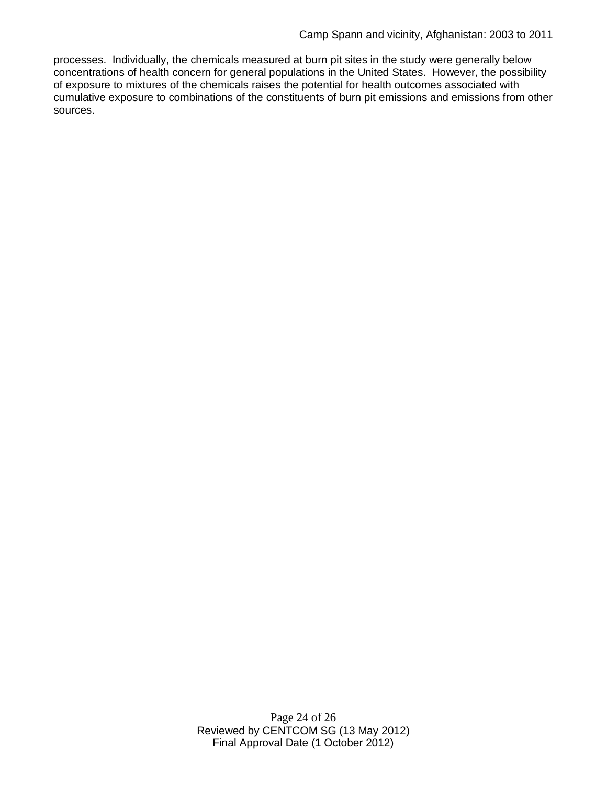processes. Individually, the chemicals measured at burn pit sites in the study were generally below concentrations of health concern for general populations in the United States. However, the possibility of exposure to mixtures of the chemicals raises the potential for health outcomes associated with cumulative exposure to combinations of the constituents of burn pit emissions and emissions from other sources.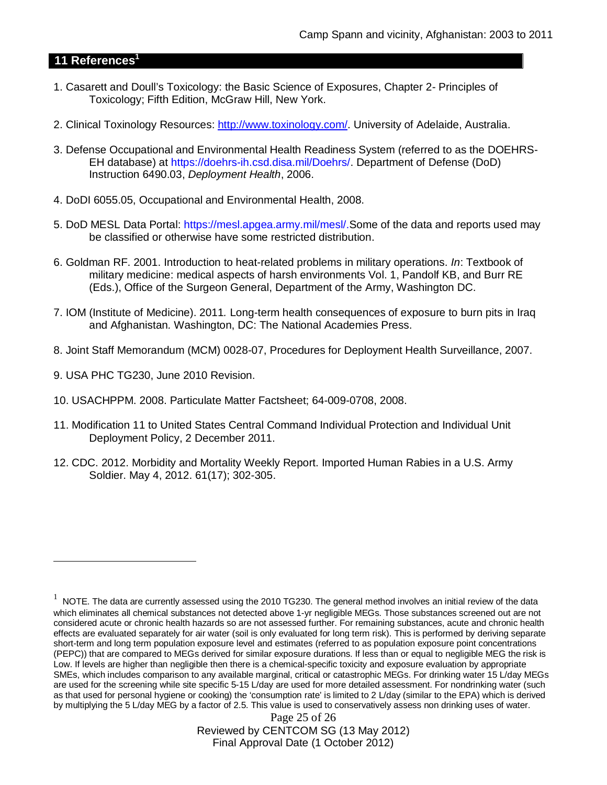## **11 References<sup>1</sup>**

- 1. Casarett and Doull's Toxicology: the Basic Science of Exposures, Chapter 2- Principles of Toxicology; Fifth Edition, McGraw Hill, New York.
- 2. Clinical Toxinology Resources: http://www.toxinology.com/. University of Adelaide, Australia.
- 3. Defense Occupational and Environmental Health Readiness System (referred to as the DOEHRS-EH database) at https://doehrs-ih.csd.disa.mil/Doehrs/. Department of Defense (DoD) Instruction 6490.03, *Deployment Health*, 2006.
- 4. DoDI 6055.05, Occupational and Environmental Health, 2008.
- 5. DoD MESL Data Portal: https://mesl.apgea.army.mil/mesl/.Some of the data and reports used may be classified or otherwise have some restricted distribution.
- 6. Goldman RF. 2001. Introduction to heat-related problems in military operations. *In*: Textbook of military medicine: medical aspects of harsh environments Vol. 1, Pandolf KB, and Burr RE (Eds.), Office of the Surgeon General, Department of the Army, Washington DC.
- 7. IOM (Institute of Medicine). 2011*.* Long-term health consequences of exposure to burn pits in Iraq and Afghanistan*.* Washington, DC: The National Academies Press.
- 8. Joint Staff Memorandum (MCM) 0028-07, Procedures for Deployment Health Surveillance, 2007.
- 9. USA PHC TG230, June 2010 Revision.
- 10. USACHPPM. 2008. Particulate Matter Factsheet; 64-009-0708, 2008.
- 11. Modification 11 to United States Central Command Individual Protection and Individual Unit Deployment Policy, 2 December 2011.
- 12. CDC. 2012. Morbidity and Mortality Weekly Report. Imported Human Rabies in a U.S. Army Soldier. May 4, 2012. 61(17); 302-305.

Page 25 of 26 Reviewed by CENTCOM SG (13 May 2012) Final Approval Date (1 October 2012)

<sup>1</sup> NOTE. The data are currently assessed using the 2010 TG230. The general method involves an initial review of the data which eliminates all chemical substances not detected above 1-yr negligible MEGs. Those substances screened out are not considered acute or chronic health hazards so are not assessed further. For remaining substances, acute and chronic health effects are evaluated separately for air water (soil is only evaluated for long term risk). This is performed by deriving separate short-term and long term population exposure level and estimates (referred to as population exposure point concentrations (PEPC)) that are compared to MEGs derived for similar exposure durations. If less than or equal to negligible MEG the risk is Low. If levels are higher than negligible then there is a chemical-specific toxicity and exposure evaluation by appropriate SMEs, which includes comparison to any available marginal, critical or catastrophic MEGs. For drinking water 15 L/day MEGs are used for the screening while site specific 5-15 L/day are used for more detailed assessment. For nondrinking water (such as that used for personal hygiene or cooking) the 'consumption rate' is limited to 2 L/day (similar to the EPA) which is derived by multiplying the 5 L/day MEG by a factor of 2.5. This value is used to conservatively assess non drinking uses of water.